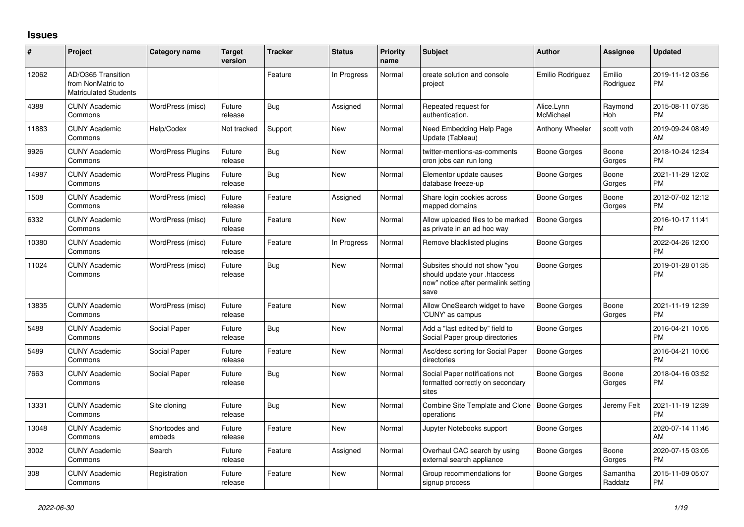## **Issues**

| #     | Project                                                                 | Category name            | <b>Target</b><br>version | <b>Tracker</b> | <b>Status</b> | <b>Priority</b><br>name | <b>Subject</b>                                                                                               | Author                  | Assignee            | <b>Updated</b>                |
|-------|-------------------------------------------------------------------------|--------------------------|--------------------------|----------------|---------------|-------------------------|--------------------------------------------------------------------------------------------------------------|-------------------------|---------------------|-------------------------------|
| 12062 | AD/O365 Transition<br>from NonMatric to<br><b>Matriculated Students</b> |                          |                          | Feature        | In Progress   | Normal                  | create solution and console<br>project                                                                       | Emilio Rodriguez        | Emilio<br>Rodriguez | 2019-11-12 03:56<br><b>PM</b> |
| 4388  | <b>CUNY Academic</b><br>Commons                                         | WordPress (misc)         | Future<br>release        | Bug            | Assigned      | Normal                  | Repeated request for<br>authentication.                                                                      | Alice.Lynn<br>McMichael | Raymond<br>Hoh      | 2015-08-11 07:35<br><b>PM</b> |
| 11883 | <b>CUNY Academic</b><br>Commons                                         | Help/Codex               | Not tracked              | Support        | <b>New</b>    | Normal                  | Need Embedding Help Page<br>Update (Tableau)                                                                 | Anthony Wheeler         | scott voth          | 2019-09-24 08:49<br>AM        |
| 9926  | <b>CUNY Academic</b><br>Commons                                         | <b>WordPress Plugins</b> | Future<br>release        | <b>Bug</b>     | <b>New</b>    | Normal                  | twitter-mentions-as-comments<br>cron jobs can run long                                                       | Boone Gorges            | Boone<br>Gorges     | 2018-10-24 12:34<br><b>PM</b> |
| 14987 | <b>CUNY Academic</b><br>Commons                                         | <b>WordPress Plugins</b> | Future<br>release        | Bug            | <b>New</b>    | Normal                  | Elementor update causes<br>database freeze-up                                                                | <b>Boone Gorges</b>     | Boone<br>Gorges     | 2021-11-29 12:02<br><b>PM</b> |
| 1508  | <b>CUNY Academic</b><br>Commons                                         | WordPress (misc)         | Future<br>release        | Feature        | Assigned      | Normal                  | Share login cookies across<br>mapped domains                                                                 | Boone Gorges            | Boone<br>Gorges     | 2012-07-02 12:12<br><b>PM</b> |
| 6332  | <b>CUNY Academic</b><br>Commons                                         | WordPress (misc)         | Future<br>release        | Feature        | New           | Normal                  | Allow uploaded files to be marked<br>as private in an ad hoc way                                             | <b>Boone Gorges</b>     |                     | 2016-10-17 11:41<br><b>PM</b> |
| 10380 | <b>CUNY Academic</b><br>Commons                                         | WordPress (misc)         | Future<br>release        | Feature        | In Progress   | Normal                  | Remove blacklisted plugins                                                                                   | <b>Boone Gorges</b>     |                     | 2022-04-26 12:00<br><b>PM</b> |
| 11024 | <b>CUNY Academic</b><br>Commons                                         | WordPress (misc)         | Future<br>release        | Bug            | <b>New</b>    | Normal                  | Subsites should not show "you<br>should update your .htaccess<br>now" notice after permalink setting<br>save | <b>Boone Gorges</b>     |                     | 2019-01-28 01:35<br><b>PM</b> |
| 13835 | <b>CUNY Academic</b><br>Commons                                         | WordPress (misc)         | Future<br>release        | Feature        | <b>New</b>    | Normal                  | Allow OneSearch widget to have<br>'CUNY' as campus                                                           | Boone Gorges            | Boone<br>Gorges     | 2021-11-19 12:39<br><b>PM</b> |
| 5488  | <b>CUNY Academic</b><br>Commons                                         | Social Paper             | Future<br>release        | Bug            | <b>New</b>    | Normal                  | Add a "last edited by" field to<br>Social Paper group directories                                            | Boone Gorges            |                     | 2016-04-21 10:05<br><b>PM</b> |
| 5489  | <b>CUNY Academic</b><br>Commons                                         | Social Paper             | Future<br>release        | Feature        | <b>New</b>    | Normal                  | Asc/desc sorting for Social Paper<br>directories                                                             | Boone Gorges            |                     | 2016-04-21 10:06<br><b>PM</b> |
| 7663  | <b>CUNY Academic</b><br>Commons                                         | Social Paper             | Future<br>release        | <b>Bug</b>     | <b>New</b>    | Normal                  | Social Paper notifications not<br>formatted correctly on secondary<br>sites                                  | Boone Gorges            | Boone<br>Gorges     | 2018-04-16 03:52<br><b>PM</b> |
| 13331 | <b>CUNY Academic</b><br>Commons                                         | Site cloning             | Future<br>release        | Bug            | <b>New</b>    | Normal                  | Combine Site Template and Clone   Boone Gorges<br>operations                                                 |                         | Jeremy Felt         | 2021-11-19 12:39<br><b>PM</b> |
| 13048 | <b>CUNY Academic</b><br>Commons                                         | Shortcodes and<br>embeds | Future<br>release        | Feature        | <b>New</b>    | Normal                  | Jupyter Notebooks support                                                                                    | Boone Gorges            |                     | 2020-07-14 11:46<br>AM        |
| 3002  | <b>CUNY Academic</b><br>Commons                                         | Search                   | Future<br>release        | Feature        | Assigned      | Normal                  | Overhaul CAC search by using<br>external search appliance                                                    | Boone Gorges            | Boone<br>Gorges     | 2020-07-15 03:05<br><b>PM</b> |
| 308   | <b>CUNY Academic</b><br>Commons                                         | Registration             | Future<br>release        | Feature        | <b>New</b>    | Normal                  | Group recommendations for<br>signup process                                                                  | Boone Gorges            | Samantha<br>Raddatz | 2015-11-09 05:07<br><b>PM</b> |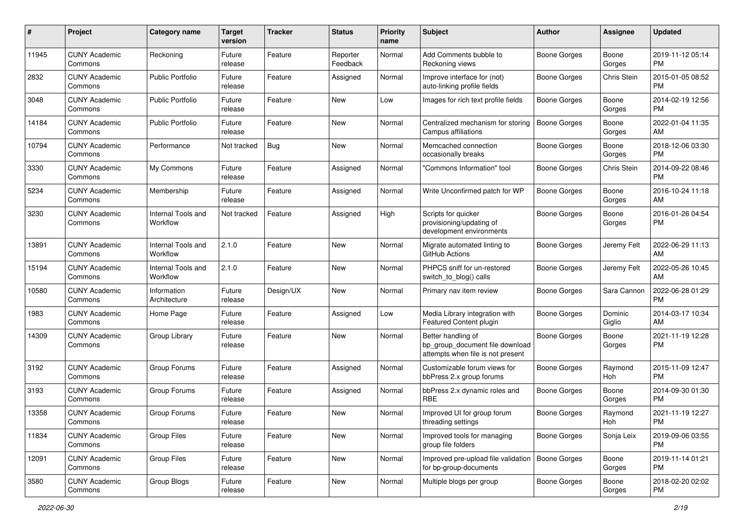| #     | Project                         | <b>Category name</b>           | <b>Target</b><br>version | <b>Tracker</b> | <b>Status</b>        | Priority<br>name | <b>Subject</b>                                                                             | Author              | <b>Assignee</b>   | <b>Updated</b>                |
|-------|---------------------------------|--------------------------------|--------------------------|----------------|----------------------|------------------|--------------------------------------------------------------------------------------------|---------------------|-------------------|-------------------------------|
| 11945 | <b>CUNY Academic</b><br>Commons | Reckoning                      | Future<br>release        | Feature        | Reporter<br>Feedback | Normal           | Add Comments bubble to<br>Reckoning views                                                  | <b>Boone Gorges</b> | Boone<br>Gorges   | 2019-11-12 05:14<br>PM.       |
| 2832  | <b>CUNY Academic</b><br>Commons | <b>Public Portfolio</b>        | Future<br>release        | Feature        | Assigned             | Normal           | Improve interface for (not)<br>auto-linking profile fields                                 | Boone Gorges        | Chris Stein       | 2015-01-05 08:52<br><b>PM</b> |
| 3048  | <b>CUNY Academic</b><br>Commons | <b>Public Portfolio</b>        | Future<br>release        | Feature        | New                  | Low              | Images for rich text profile fields                                                        | Boone Gorges        | Boone<br>Gorges   | 2014-02-19 12:56<br><b>PM</b> |
| 14184 | <b>CUNY Academic</b><br>Commons | Public Portfolio               | Future<br>release        | Feature        | New                  | Normal           | Centralized mechanism for storing<br>Campus affiliations                                   | Boone Gorges        | Boone<br>Gorges   | 2022-01-04 11:35<br>AM        |
| 10794 | <b>CUNY Academic</b><br>Commons | Performance                    | Not tracked              | Bug            | New                  | Normal           | Memcached connection<br>occasionally breaks                                                | Boone Gorges        | Boone<br>Gorges   | 2018-12-06 03:30<br><b>PM</b> |
| 3330  | <b>CUNY Academic</b><br>Commons | My Commons                     | Future<br>release        | Feature        | Assigned             | Normal           | "Commons Information" tool                                                                 | Boone Gorges        | Chris Stein       | 2014-09-22 08:46<br><b>PM</b> |
| 5234  | <b>CUNY Academic</b><br>Commons | Membership                     | Future<br>release        | Feature        | Assigned             | Normal           | Write Unconfirmed patch for WP                                                             | Boone Gorges        | Boone<br>Gorges   | 2016-10-24 11:18<br>AM.       |
| 3230  | <b>CUNY Academic</b><br>Commons | Internal Tools and<br>Workflow | Not tracked              | Feature        | Assigned             | High             | Scripts for quicker<br>provisioning/updating of<br>development environments                | <b>Boone Gorges</b> | Boone<br>Gorges   | 2016-01-26 04:54<br>PM.       |
| 13891 | <b>CUNY Academic</b><br>Commons | Internal Tools and<br>Workflow | 2.1.0                    | Feature        | New                  | Normal           | Migrate automated linting to<br>GitHub Actions                                             | Boone Gorges        | Jeremy Felt       | 2022-06-29 11:13<br>AM.       |
| 15194 | <b>CUNY Academic</b><br>Commons | Internal Tools and<br>Workflow | 2.1.0                    | Feature        | New                  | Normal           | PHPCS sniff for un-restored<br>switch_to_blog() calls                                      | Boone Gorges        | Jeremy Felt       | 2022-05-26 10:45<br>AM        |
| 10580 | <b>CUNY Academic</b><br>Commons | Information<br>Architecture    | Future<br>release        | Design/UX      | New                  | Normal           | Primary nav item review                                                                    | Boone Gorges        | Sara Cannon       | 2022-06-28 01:29<br><b>PM</b> |
| 1983  | <b>CUNY Academic</b><br>Commons | Home Page                      | Future<br>release        | Feature        | Assigned             | Low              | Media Library integration with<br><b>Featured Content plugin</b>                           | Boone Gorges        | Dominic<br>Giglio | 2014-03-17 10:34<br>AM        |
| 14309 | <b>CUNY Academic</b><br>Commons | Group Library                  | Future<br>release        | Feature        | New                  | Normal           | Better handling of<br>bp_group_document file download<br>attempts when file is not present | Boone Gorges        | Boone<br>Gorges   | 2021-11-19 12:28<br><b>PM</b> |
| 3192  | <b>CUNY Academic</b><br>Commons | Group Forums                   | Future<br>release        | Feature        | Assigned             | Normal           | Customizable forum views for<br>bbPress 2.x group forums                                   | Boone Gorges        | Raymond<br>Hoh    | 2015-11-09 12:47<br><b>PM</b> |
| 3193  | <b>CUNY Academic</b><br>Commons | Group Forums                   | Future<br>release        | Feature        | Assigned             | Normal           | bbPress 2.x dynamic roles and<br><b>RBE</b>                                                | <b>Boone Gorges</b> | Boone<br>Gorges   | 2014-09-30 01:30<br>PM.       |
| 13358 | <b>CUNY Academic</b><br>Commons | Group Forums                   | Future<br>release        | Feature        | New                  | Normal           | Improved UI for group forum<br>threading settings                                          | Boone Gorges        | Raymond<br>Hoh    | 2021-11-19 12:27<br><b>PM</b> |
| 11834 | <b>CUNY Academic</b><br>Commons | <b>Group Files</b>             | Future<br>release        | Feature        | New                  | Normal           | Improved tools for managing<br>group file folders                                          | Boone Gorges        | Sonja Leix        | 2019-09-06 03:55<br><b>PM</b> |
| 12091 | <b>CUNY Academic</b><br>Commons | <b>Group Files</b>             | Future<br>release        | Feature        | New                  | Normal           | Improved pre-upload file validation<br>for bp-group-documents                              | Boone Gorges        | Boone<br>Gorges   | 2019-11-14 01:21<br><b>PM</b> |
| 3580  | <b>CUNY Academic</b><br>Commons | Group Blogs                    | Future<br>release        | Feature        | New                  | Normal           | Multiple blogs per group                                                                   | Boone Gorges        | Boone<br>Gorges   | 2018-02-20 02:02<br><b>PM</b> |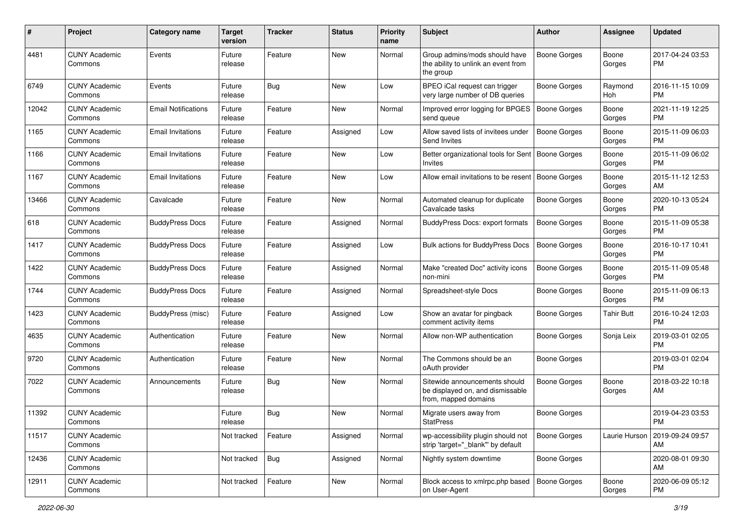| #     | Project                         | <b>Category name</b>       | <b>Target</b><br>version | <b>Tracker</b> | <b>Status</b> | <b>Priority</b><br>name | Subject                                                                                   | Author              | Assignee          | <b>Updated</b>                |
|-------|---------------------------------|----------------------------|--------------------------|----------------|---------------|-------------------------|-------------------------------------------------------------------------------------------|---------------------|-------------------|-------------------------------|
| 4481  | <b>CUNY Academic</b><br>Commons | Events                     | Future<br>release        | Feature        | <b>New</b>    | Normal                  | Group admins/mods should have<br>the ability to unlink an event from<br>the group         | <b>Boone Gorges</b> | Boone<br>Gorges   | 2017-04-24 03:53<br>PM.       |
| 6749  | <b>CUNY Academic</b><br>Commons | Events                     | Future<br>release        | Bug            | <b>New</b>    | Low                     | BPEO iCal request can trigger<br>very large number of DB queries                          | <b>Boone Gorges</b> | Raymond<br>Hoh    | 2016-11-15 10:09<br>PM.       |
| 12042 | <b>CUNY Academic</b><br>Commons | <b>Email Notifications</b> | Future<br>release        | Feature        | New           | Normal                  | Improved error logging for BPGES<br>send queue                                            | <b>Boone Gorges</b> | Boone<br>Gorges   | 2021-11-19 12:25<br><b>PM</b> |
| 1165  | <b>CUNY Academic</b><br>Commons | <b>Email Invitations</b>   | Future<br>release        | Feature        | Assigned      | Low                     | Allow saved lists of invitees under<br>Send Invites                                       | <b>Boone Gorges</b> | Boone<br>Gorges   | 2015-11-09 06:03<br><b>PM</b> |
| 1166  | <b>CUNY Academic</b><br>Commons | <b>Email Invitations</b>   | Future<br>release        | Feature        | New           | Low                     | Better organizational tools for Sent<br>Invites                                           | Boone Gorges        | Boone<br>Gorges   | 2015-11-09 06:02<br><b>PM</b> |
| 1167  | <b>CUNY Academic</b><br>Commons | <b>Email Invitations</b>   | Future<br>release        | Feature        | New           | Low                     | Allow email invitations to be resent                                                      | <b>Boone Gorges</b> | Boone<br>Gorges   | 2015-11-12 12:53<br>AM        |
| 13466 | <b>CUNY Academic</b><br>Commons | Cavalcade                  | Future<br>release        | Feature        | New           | Normal                  | Automated cleanup for duplicate<br>Cavalcade tasks                                        | <b>Boone Gorges</b> | Boone<br>Gorges   | 2020-10-13 05:24<br><b>PM</b> |
| 618   | <b>CUNY Academic</b><br>Commons | <b>BuddyPress Docs</b>     | Future<br>release        | Feature        | Assigned      | Normal                  | <b>BuddyPress Docs: export formats</b>                                                    | <b>Boone Gorges</b> | Boone<br>Gorges   | 2015-11-09 05:38<br><b>PM</b> |
| 1417  | <b>CUNY Academic</b><br>Commons | <b>BuddyPress Docs</b>     | Future<br>release        | Feature        | Assigned      | Low                     | Bulk actions for BuddyPress Docs                                                          | <b>Boone Gorges</b> | Boone<br>Gorges   | 2016-10-17 10:41<br>PM.       |
| 1422  | <b>CUNY Academic</b><br>Commons | <b>BuddyPress Docs</b>     | Future<br>release        | Feature        | Assigned      | Normal                  | Make "created Doc" activity icons<br>non-mini                                             | <b>Boone Gorges</b> | Boone<br>Gorges   | 2015-11-09 05:48<br><b>PM</b> |
| 1744  | <b>CUNY Academic</b><br>Commons | <b>BuddyPress Docs</b>     | Future<br>release        | Feature        | Assigned      | Normal                  | Spreadsheet-style Docs                                                                    | Boone Gorges        | Boone<br>Gorges   | 2015-11-09 06:13<br><b>PM</b> |
| 1423  | <b>CUNY Academic</b><br>Commons | BuddyPress (misc)          | Future<br>release        | Feature        | Assigned      | Low                     | Show an avatar for pingback<br>comment activity items                                     | Boone Gorges        | <b>Tahir Butt</b> | 2016-10-24 12:03<br><b>PM</b> |
| 4635  | <b>CUNY Academic</b><br>Commons | Authentication             | Future<br>release        | Feature        | New           | Normal                  | Allow non-WP authentication                                                               | Boone Gorges        | Sonja Leix        | 2019-03-01 02:05<br><b>PM</b> |
| 9720  | <b>CUNY Academic</b><br>Commons | Authentication             | Future<br>release        | Feature        | New           | Normal                  | The Commons should be an<br>oAuth provider                                                | <b>Boone Gorges</b> |                   | 2019-03-01 02:04<br><b>PM</b> |
| 7022  | <b>CUNY Academic</b><br>Commons | Announcements              | Future<br>release        | Bug            | New           | Normal                  | Sitewide announcements should<br>be displayed on, and dismissable<br>from, mapped domains | Boone Gorges        | Boone<br>Gorges   | 2018-03-22 10:18<br>AM        |
| 11392 | <b>CUNY Academic</b><br>Commons |                            | Future<br>release        | Bug            | New           | Normal                  | Migrate users away from<br><b>StatPress</b>                                               | <b>Boone Gorges</b> |                   | 2019-04-23 03:53<br>PM        |
| 11517 | <b>CUNY Academic</b><br>Commons |                            | Not tracked              | Feature        | Assigned      | Normal                  | wp-accessibility plugin should not<br>strip 'target=" blank" by default                   | <b>Boone Gorges</b> | Laurie Hurson     | 2019-09-24 09:57<br>AM        |
| 12436 | <b>CUNY Academic</b><br>Commons |                            | Not tracked              | Bug            | Assigned      | Normal                  | Nightly system downtime                                                                   | Boone Gorges        |                   | 2020-08-01 09:30<br>AM        |
| 12911 | <b>CUNY Academic</b><br>Commons |                            | Not tracked              | Feature        | New           | Normal                  | Block access to xmlrpc.php based<br>on User-Agent                                         | Boone Gorges        | Boone<br>Gorges   | 2020-06-09 05:12<br><b>PM</b> |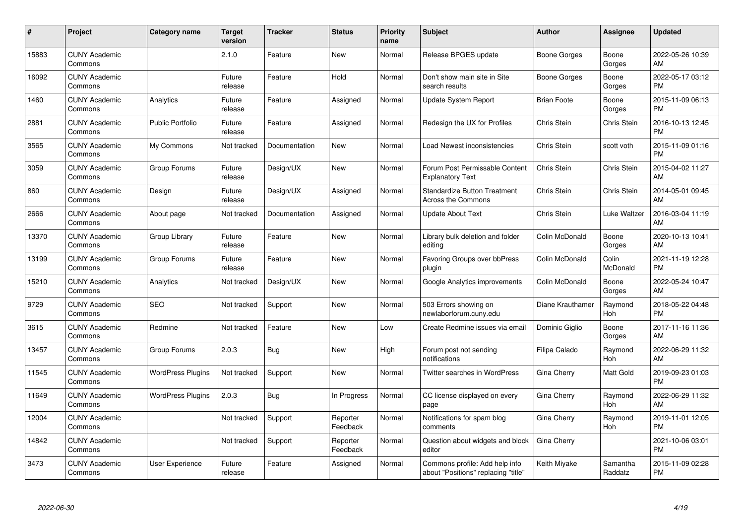| #     | Project                         | <b>Category name</b>     | <b>Target</b><br>version | <b>Tracker</b> | <b>Status</b>        | <b>Priority</b><br>name | <b>Subject</b>                                                        | <b>Author</b>      | <b>Assignee</b>     | <b>Updated</b>                |
|-------|---------------------------------|--------------------------|--------------------------|----------------|----------------------|-------------------------|-----------------------------------------------------------------------|--------------------|---------------------|-------------------------------|
| 15883 | <b>CUNY Academic</b><br>Commons |                          | 2.1.0                    | Feature        | <b>New</b>           | Normal                  | Release BPGES update                                                  | Boone Gorges       | Boone<br>Gorges     | 2022-05-26 10:39<br>AM        |
| 16092 | <b>CUNY Academic</b><br>Commons |                          | Future<br>release        | Feature        | Hold                 | Normal                  | Don't show main site in Site<br>search results                        | Boone Gorges       | Boone<br>Gorges     | 2022-05-17 03:12<br><b>PM</b> |
| 1460  | <b>CUNY Academic</b><br>Commons | Analytics                | Future<br>release        | Feature        | Assigned             | Normal                  | Update System Report                                                  | <b>Brian Foote</b> | Boone<br>Gorges     | 2015-11-09 06:13<br><b>PM</b> |
| 2881  | <b>CUNY Academic</b><br>Commons | <b>Public Portfolio</b>  | Future<br>release        | Feature        | Assigned             | Normal                  | Redesign the UX for Profiles                                          | Chris Stein        | <b>Chris Stein</b>  | 2016-10-13 12:45<br><b>PM</b> |
| 3565  | <b>CUNY Academic</b><br>Commons | My Commons               | Not tracked              | Documentation  | <b>New</b>           | Normal                  | Load Newest inconsistencies                                           | Chris Stein        | scott voth          | 2015-11-09 01:16<br><b>PM</b> |
| 3059  | <b>CUNY Academic</b><br>Commons | Group Forums             | Future<br>release        | Design/UX      | <b>New</b>           | Normal                  | Forum Post Permissable Content<br><b>Explanatory Text</b>             | Chris Stein        | Chris Stein         | 2015-04-02 11:27<br>AM        |
| 860   | <b>CUNY Academic</b><br>Commons | Design                   | Future<br>release        | Design/UX      | Assigned             | Normal                  | <b>Standardize Button Treatment</b><br><b>Across the Commons</b>      | Chris Stein        | <b>Chris Stein</b>  | 2014-05-01 09:45<br>AM        |
| 2666  | <b>CUNY Academic</b><br>Commons | About page               | Not tracked              | Documentation  | Assigned             | Normal                  | <b>Update About Text</b>                                              | Chris Stein        | Luke Waltzer        | 2016-03-04 11:19<br>AM        |
| 13370 | <b>CUNY Academic</b><br>Commons | Group Library            | Future<br>release        | Feature        | <b>New</b>           | Normal                  | Library bulk deletion and folder<br>editing                           | Colin McDonald     | Boone<br>Gorges     | 2020-10-13 10:41<br>AM        |
| 13199 | <b>CUNY Academic</b><br>Commons | Group Forums             | Future<br>release        | Feature        | <b>New</b>           | Normal                  | Favoring Groups over bbPress<br>plugin                                | Colin McDonald     | Colin<br>McDonald   | 2021-11-19 12:28<br><b>PM</b> |
| 15210 | <b>CUNY Academic</b><br>Commons | Analytics                | Not tracked              | Design/UX      | <b>New</b>           | Normal                  | Google Analytics improvements                                         | Colin McDonald     | Boone<br>Gorges     | 2022-05-24 10:47<br>AM        |
| 9729  | <b>CUNY Academic</b><br>Commons | <b>SEO</b>               | Not tracked              | Support        | <b>New</b>           | Normal                  | 503 Errors showing on<br>newlaborforum.cuny.edu                       | Diane Krauthamer   | Raymond<br>Hoh      | 2018-05-22 04:48<br><b>PM</b> |
| 3615  | <b>CUNY Academic</b><br>Commons | Redmine                  | Not tracked              | Feature        | New                  | Low                     | Create Redmine issues via email                                       | Dominic Giglio     | Boone<br>Gorges     | 2017-11-16 11:36<br>AM        |
| 13457 | <b>CUNY Academic</b><br>Commons | Group Forums             | 2.0.3                    | Bug            | <b>New</b>           | High                    | Forum post not sending<br>notifications                               | Filipa Calado      | Raymond<br>Hoh      | 2022-06-29 11:32<br>AM        |
| 11545 | <b>CUNY Academic</b><br>Commons | <b>WordPress Plugins</b> | Not tracked              | Support        | New                  | Normal                  | Twitter searches in WordPress                                         | Gina Cherry        | Matt Gold           | 2019-09-23 01:03<br><b>PM</b> |
| 11649 | <b>CUNY Academic</b><br>Commons | <b>WordPress Plugins</b> | 2.0.3                    | Bug            | In Progress          | Normal                  | CC license displayed on every<br>page                                 | Gina Cherry        | Raymond<br>Hoh      | 2022-06-29 11:32<br>AM        |
| 12004 | <b>CUNY Academic</b><br>Commons |                          | Not tracked              | Support        | Reporter<br>Feedback | Normal                  | Notifications for spam blog<br>comments                               | Gina Cherry        | Raymond<br>Hoh      | 2019-11-01 12:05<br><b>PM</b> |
| 14842 | <b>CUNY Academic</b><br>Commons |                          | Not tracked              | Support        | Reporter<br>Feedback | Normal                  | Question about widgets and block<br>editor                            | Gina Cherry        |                     | 2021-10-06 03:01<br><b>PM</b> |
| 3473  | <b>CUNY Academic</b><br>Commons | User Experience          | Future<br>release        | Feature        | Assigned             | Normal                  | Commons profile: Add help info<br>about "Positions" replacing "title" | Keith Miyake       | Samantha<br>Raddatz | 2015-11-09 02:28<br><b>PM</b> |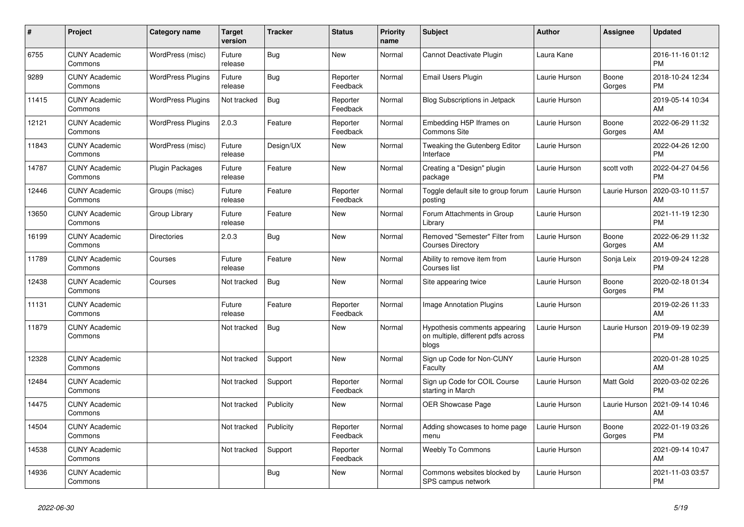| #     | Project                         | <b>Category name</b>     | <b>Target</b><br>version | <b>Tracker</b> | <b>Status</b>        | <b>Priority</b><br>name | <b>Subject</b>                                                               | <b>Author</b> | <b>Assignee</b> | <b>Updated</b>                |
|-------|---------------------------------|--------------------------|--------------------------|----------------|----------------------|-------------------------|------------------------------------------------------------------------------|---------------|-----------------|-------------------------------|
| 6755  | <b>CUNY Academic</b><br>Commons | WordPress (misc)         | Future<br>release        | Bug            | <b>New</b>           | Normal                  | Cannot Deactivate Plugin                                                     | Laura Kane    |                 | 2016-11-16 01:12<br><b>PM</b> |
| 9289  | <b>CUNY Academic</b><br>Commons | <b>WordPress Plugins</b> | Future<br>release        | Bug            | Reporter<br>Feedback | Normal                  | Email Users Plugin                                                           | Laurie Hurson | Boone<br>Gorges | 2018-10-24 12:34<br><b>PM</b> |
| 11415 | <b>CUNY Academic</b><br>Commons | <b>WordPress Plugins</b> | Not tracked              | Bug            | Reporter<br>Feedback | Normal                  | <b>Blog Subscriptions in Jetpack</b>                                         | Laurie Hurson |                 | 2019-05-14 10:34<br>AM        |
| 12121 | <b>CUNY Academic</b><br>Commons | <b>WordPress Plugins</b> | 2.0.3                    | Feature        | Reporter<br>Feedback | Normal                  | Embedding H5P Iframes on<br><b>Commons Site</b>                              | Laurie Hurson | Boone<br>Gorges | 2022-06-29 11:32<br>AM        |
| 11843 | <b>CUNY Academic</b><br>Commons | WordPress (misc)         | Future<br>release        | Design/UX      | New                  | Normal                  | Tweaking the Gutenberg Editor<br>Interface                                   | Laurie Hurson |                 | 2022-04-26 12:00<br><b>PM</b> |
| 14787 | <b>CUNY Academic</b><br>Commons | Plugin Packages          | Future<br>release        | Feature        | <b>New</b>           | Normal                  | Creating a "Design" plugin<br>package                                        | Laurie Hurson | scott voth      | 2022-04-27 04:56<br><b>PM</b> |
| 12446 | <b>CUNY Academic</b><br>Commons | Groups (misc)            | Future<br>release        | Feature        | Reporter<br>Feedback | Normal                  | Toggle default site to group forum<br>posting                                | Laurie Hurson | Laurie Hurson   | 2020-03-10 11:57<br>AM        |
| 13650 | <b>CUNY Academic</b><br>Commons | Group Library            | Future<br>release        | Feature        | New                  | Normal                  | Forum Attachments in Group<br>Library                                        | Laurie Hurson |                 | 2021-11-19 12:30<br><b>PM</b> |
| 16199 | <b>CUNY Academic</b><br>Commons | <b>Directories</b>       | 2.0.3                    | Bug            | New                  | Normal                  | Removed "Semester" Filter from<br><b>Courses Directory</b>                   | Laurie Hurson | Boone<br>Gorges | 2022-06-29 11:32<br>AM        |
| 11789 | <b>CUNY Academic</b><br>Commons | Courses                  | Future<br>release        | Feature        | <b>New</b>           | Normal                  | Ability to remove item from<br>Courses list                                  | Laurie Hurson | Sonja Leix      | 2019-09-24 12:28<br><b>PM</b> |
| 12438 | <b>CUNY Academic</b><br>Commons | Courses                  | Not tracked              | Bug            | New                  | Normal                  | Site appearing twice                                                         | Laurie Hurson | Boone<br>Gorges | 2020-02-18 01:34<br><b>PM</b> |
| 11131 | <b>CUNY Academic</b><br>Commons |                          | Future<br>release        | Feature        | Reporter<br>Feedback | Normal                  | Image Annotation Plugins                                                     | Laurie Hurson |                 | 2019-02-26 11:33<br>AM        |
| 11879 | <b>CUNY Academic</b><br>Commons |                          | Not tracked              | <b>Bug</b>     | <b>New</b>           | Normal                  | Hypothesis comments appearing<br>on multiple, different pdfs across<br>blogs | Laurie Hurson | Laurie Hurson   | 2019-09-19 02:39<br><b>PM</b> |
| 12328 | <b>CUNY Academic</b><br>Commons |                          | Not tracked              | Support        | New                  | Normal                  | Sign up Code for Non-CUNY<br>Faculty                                         | Laurie Hurson |                 | 2020-01-28 10:25<br>AM        |
| 12484 | <b>CUNY Academic</b><br>Commons |                          | Not tracked              | Support        | Reporter<br>Feedback | Normal                  | Sign up Code for COIL Course<br>starting in March                            | Laurie Hurson | Matt Gold       | 2020-03-02 02:26<br><b>PM</b> |
| 14475 | <b>CUNY Academic</b><br>Commons |                          | Not tracked              | Publicity      | <b>New</b>           | Normal                  | <b>OER Showcase Page</b>                                                     | Laurie Hurson | Laurie Hurson   | 2021-09-14 10:46<br>AM        |
| 14504 | <b>CUNY Academic</b><br>Commons |                          | Not tracked              | Publicity      | Reporter<br>Feedback | Normal                  | Adding showcases to home page<br>menu                                        | Laurie Hurson | Boone<br>Gorges | 2022-01-19 03:26<br><b>PM</b> |
| 14538 | <b>CUNY Academic</b><br>Commons |                          | Not tracked              | Support        | Reporter<br>Feedback | Normal                  | <b>Weebly To Commons</b>                                                     | Laurie Hurson |                 | 2021-09-14 10:47<br>AM        |
| 14936 | <b>CUNY Academic</b><br>Commons |                          |                          | Bug            | <b>New</b>           | Normal                  | Commons websites blocked by<br>SPS campus network                            | Laurie Hurson |                 | 2021-11-03 03:57<br><b>PM</b> |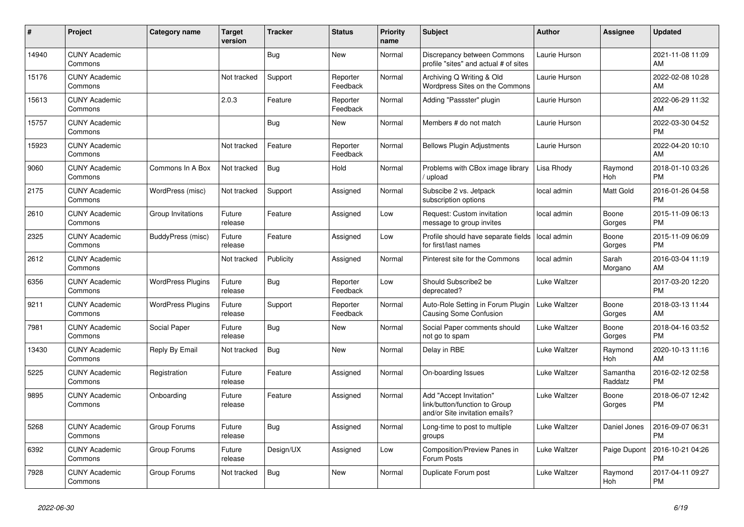| #     | Project                         | <b>Category name</b>     | <b>Target</b><br>version | <b>Tracker</b> | <b>Status</b>        | <b>Priority</b><br>name | <b>Subject</b>                                                                             | <b>Author</b> | <b>Assignee</b>     | <b>Updated</b>                |
|-------|---------------------------------|--------------------------|--------------------------|----------------|----------------------|-------------------------|--------------------------------------------------------------------------------------------|---------------|---------------------|-------------------------------|
| 14940 | <b>CUNY Academic</b><br>Commons |                          |                          | Bug            | New                  | Normal                  | Discrepancy between Commons<br>profile "sites" and actual # of sites                       | Laurie Hurson |                     | 2021-11-08 11:09<br>AM        |
| 15176 | <b>CUNY Academic</b><br>Commons |                          | Not tracked              | Support        | Reporter<br>Feedback | Normal                  | Archiving Q Writing & Old<br>Wordpress Sites on the Commons                                | Laurie Hurson |                     | 2022-02-08 10:28<br>AM        |
| 15613 | <b>CUNY Academic</b><br>Commons |                          | 2.0.3                    | Feature        | Reporter<br>Feedback | Normal                  | Adding "Passster" plugin                                                                   | Laurie Hurson |                     | 2022-06-29 11:32<br>AM        |
| 15757 | <b>CUNY Academic</b><br>Commons |                          |                          | Bug            | <b>New</b>           | Normal                  | Members # do not match                                                                     | Laurie Hurson |                     | 2022-03-30 04:52<br><b>PM</b> |
| 15923 | <b>CUNY Academic</b><br>Commons |                          | Not tracked              | Feature        | Reporter<br>Feedback | Normal                  | <b>Bellows Plugin Adjustments</b>                                                          | Laurie Hurson |                     | 2022-04-20 10:10<br>AM        |
| 9060  | <b>CUNY Academic</b><br>Commons | Commons In A Box         | Not tracked              | Bug            | Hold                 | Normal                  | Problems with CBox image library<br>/ upload                                               | Lisa Rhody    | Raymond<br>Hoh      | 2018-01-10 03:26<br><b>PM</b> |
| 2175  | <b>CUNY Academic</b><br>Commons | WordPress (misc)         | Not tracked              | Support        | Assigned             | Normal                  | Subscibe 2 vs. Jetpack<br>subscription options                                             | local admin   | Matt Gold           | 2016-01-26 04:58<br><b>PM</b> |
| 2610  | <b>CUNY Academic</b><br>Commons | Group Invitations        | Future<br>release        | Feature        | Assigned             | Low                     | Request: Custom invitation<br>message to group invites                                     | local admin   | Boone<br>Gorges     | 2015-11-09 06:13<br><b>PM</b> |
| 2325  | <b>CUNY Academic</b><br>Commons | BuddyPress (misc)        | Future<br>release        | Feature        | Assigned             | Low                     | Profile should have separate fields<br>for first/last names                                | local admin   | Boone<br>Gorges     | 2015-11-09 06:09<br><b>PM</b> |
| 2612  | <b>CUNY Academic</b><br>Commons |                          | Not tracked              | Publicity      | Assigned             | Normal                  | Pinterest site for the Commons                                                             | local admin   | Sarah<br>Morgano    | 2016-03-04 11:19<br>AM        |
| 6356  | <b>CUNY Academic</b><br>Commons | <b>WordPress Plugins</b> | Future<br>release        | Bug            | Reporter<br>Feedback | Low                     | Should Subscribe2 be<br>deprecated?                                                        | Luke Waltzer  |                     | 2017-03-20 12:20<br><b>PM</b> |
| 9211  | <b>CUNY Academic</b><br>Commons | <b>WordPress Plugins</b> | Future<br>release        | Support        | Reporter<br>Feedback | Normal                  | Auto-Role Setting in Forum Plugin<br><b>Causing Some Confusion</b>                         | Luke Waltzer  | Boone<br>Gorges     | 2018-03-13 11:44<br>AM        |
| 7981  | <b>CUNY Academic</b><br>Commons | Social Paper             | Future<br>release        | Bug            | New                  | Normal                  | Social Paper comments should<br>not go to spam                                             | Luke Waltzer  | Boone<br>Gorges     | 2018-04-16 03:52<br><b>PM</b> |
| 13430 | <b>CUNY Academic</b><br>Commons | Reply By Email           | Not tracked              | Bug            | <b>New</b>           | Normal                  | Delay in RBE                                                                               | Luke Waltzer  | Raymond<br>Hoh      | 2020-10-13 11:16<br>AM        |
| 5225  | <b>CUNY Academic</b><br>Commons | Registration             | Future<br>release        | Feature        | Assigned             | Normal                  | On-boarding Issues                                                                         | Luke Waltzer  | Samantha<br>Raddatz | 2016-02-12 02:58<br><b>PM</b> |
| 9895  | <b>CUNY Academic</b><br>Commons | Onboarding               | Future<br>release        | Feature        | Assigned             | Normal                  | Add "Accept Invitation"<br>link/button/function to Group<br>and/or Site invitation emails? | Luke Waltzer  | Boone<br>Gorges     | 2018-06-07 12:42<br><b>PM</b> |
| 5268  | <b>CUNY Academic</b><br>Commons | Group Forums             | Future<br>release        | Bug            | Assigned             | Normal                  | Long-time to post to multiple<br>groups                                                    | Luke Waltzer  | Daniel Jones        | 2016-09-07 06:31<br><b>PM</b> |
| 6392  | <b>CUNY Academic</b><br>Commons | Group Forums             | Future<br>release        | Design/UX      | Assigned             | Low                     | Composition/Preview Panes in<br>Forum Posts                                                | Luke Waltzer  | Paige Dupont        | 2016-10-21 04:26<br><b>PM</b> |
| 7928  | <b>CUNY Academic</b><br>Commons | Group Forums             | Not tracked              | <b>Bug</b>     | <b>New</b>           | Normal                  | Duplicate Forum post                                                                       | Luke Waltzer  | Raymond<br>Hoh      | 2017-04-11 09:27<br><b>PM</b> |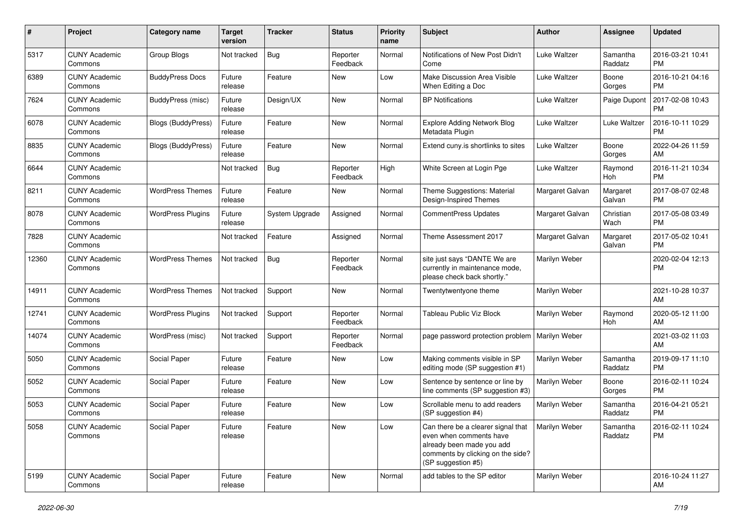| #     | Project                         | <b>Category name</b>      | <b>Target</b><br>version | <b>Tracker</b> | <b>Status</b>        | <b>Priority</b><br>name | <b>Subject</b>                                                                                                                                        | <b>Author</b>   | <b>Assignee</b>     | <b>Updated</b>                |
|-------|---------------------------------|---------------------------|--------------------------|----------------|----------------------|-------------------------|-------------------------------------------------------------------------------------------------------------------------------------------------------|-----------------|---------------------|-------------------------------|
| 5317  | <b>CUNY Academic</b><br>Commons | <b>Group Blogs</b>        | Not tracked              | Bug            | Reporter<br>Feedback | Normal                  | Notifications of New Post Didn't<br>Come                                                                                                              | Luke Waltzer    | Samantha<br>Raddatz | 2016-03-21 10:41<br><b>PM</b> |
| 6389  | <b>CUNY Academic</b><br>Commons | <b>BuddyPress Docs</b>    | Future<br>release        | Feature        | New                  | Low                     | Make Discussion Area Visible<br>When Editing a Doc                                                                                                    | Luke Waltzer    | Boone<br>Gorges     | 2016-10-21 04:16<br><b>PM</b> |
| 7624  | <b>CUNY Academic</b><br>Commons | BuddyPress (misc)         | Future<br>release        | Design/UX      | New                  | Normal                  | <b>BP</b> Notifications                                                                                                                               | Luke Waltzer    | Paige Dupont        | 2017-02-08 10:43<br><b>PM</b> |
| 6078  | <b>CUNY Academic</b><br>Commons | Blogs (BuddyPress)        | Future<br>release        | Feature        | New                  | Normal                  | <b>Explore Adding Network Blog</b><br>Metadata Plugin                                                                                                 | Luke Waltzer    | Luke Waltzer        | 2016-10-11 10:29<br><b>PM</b> |
| 8835  | <b>CUNY Academic</b><br>Commons | <b>Blogs (BuddyPress)</b> | Future<br>release        | Feature        | New                  | Normal                  | Extend cuny is shortlinks to sites                                                                                                                    | Luke Waltzer    | Boone<br>Gorges     | 2022-04-26 11:59<br>AM        |
| 6644  | <b>CUNY Academic</b><br>Commons |                           | Not tracked              | Bug            | Reporter<br>Feedback | High                    | White Screen at Login Pge                                                                                                                             | Luke Waltzer    | Raymond<br>Hoh      | 2016-11-21 10:34<br><b>PM</b> |
| 8211  | <b>CUNY Academic</b><br>Commons | <b>WordPress Themes</b>   | Future<br>release        | Feature        | New                  | Normal                  | Theme Suggestions: Material<br>Design-Inspired Themes                                                                                                 | Margaret Galvan | Margaret<br>Galvan  | 2017-08-07 02:48<br>PM.       |
| 8078  | <b>CUNY Academic</b><br>Commons | <b>WordPress Plugins</b>  | Future<br>release        | System Upgrade | Assigned             | Normal                  | <b>CommentPress Updates</b>                                                                                                                           | Margaret Galvan | Christian<br>Wach   | 2017-05-08 03:49<br>PM.       |
| 7828  | <b>CUNY Academic</b><br>Commons |                           | Not tracked              | Feature        | Assigned             | Normal                  | Theme Assessment 2017                                                                                                                                 | Margaret Galvan | Margaret<br>Galvan  | 2017-05-02 10:41<br><b>PM</b> |
| 12360 | <b>CUNY Academic</b><br>Commons | <b>WordPress Themes</b>   | Not tracked              | Bug            | Reporter<br>Feedback | Normal                  | site just says "DANTE We are<br>currently in maintenance mode,<br>please check back shortly."                                                         | Marilyn Weber   |                     | 2020-02-04 12:13<br><b>PM</b> |
| 14911 | <b>CUNY Academic</b><br>Commons | <b>WordPress Themes</b>   | Not tracked              | Support        | New                  | Normal                  | Twentytwentyone theme                                                                                                                                 | Marilyn Weber   |                     | 2021-10-28 10:37<br>AM        |
| 12741 | <b>CUNY Academic</b><br>Commons | <b>WordPress Plugins</b>  | Not tracked              | Support        | Reporter<br>Feedback | Normal                  | <b>Tableau Public Viz Block</b>                                                                                                                       | Marilyn Weber   | Raymond<br>Hoh      | 2020-05-12 11:00<br>AM.       |
| 14074 | <b>CUNY Academic</b><br>Commons | WordPress (misc)          | Not tracked              | Support        | Reporter<br>Feedback | Normal                  | page password protection problem                                                                                                                      | Marilyn Weber   |                     | 2021-03-02 11:03<br>AM        |
| 5050  | <b>CUNY Academic</b><br>Commons | Social Paper              | Future<br>release        | Feature        | New                  | Low                     | Making comments visible in SP<br>editing mode (SP suggestion #1)                                                                                      | Marilyn Weber   | Samantha<br>Raddatz | 2019-09-17 11:10<br><b>PM</b> |
| 5052  | <b>CUNY Academic</b><br>Commons | Social Paper              | Future<br>release        | Feature        | New                  | Low                     | Sentence by sentence or line by<br>line comments (SP suggestion #3)                                                                                   | Marilyn Weber   | Boone<br>Gorges     | 2016-02-11 10:24<br><b>PM</b> |
| 5053  | <b>CUNY Academic</b><br>Commons | Social Paper              | Future<br>release        | Feature        | New                  | Low                     | Scrollable menu to add readers<br>(SP suggestion #4)                                                                                                  | Marilyn Weber   | Samantha<br>Raddatz | 2016-04-21 05:21<br><b>PM</b> |
| 5058  | <b>CUNY Academic</b><br>Commons | Social Paper              | Future<br>release        | Feature        | New                  | Low                     | Can there be a clearer signal that<br>even when comments have<br>already been made you add<br>comments by clicking on the side?<br>(SP suggestion #5) | Marilyn Weber   | Samantha<br>Raddatz | 2016-02-11 10:24<br>PM        |
| 5199  | <b>CUNY Academic</b><br>Commons | Social Paper              | Future<br>release        | Feature        | New                  | Normal                  | add tables to the SP editor                                                                                                                           | Marilyn Weber   |                     | 2016-10-24 11:27<br>AM        |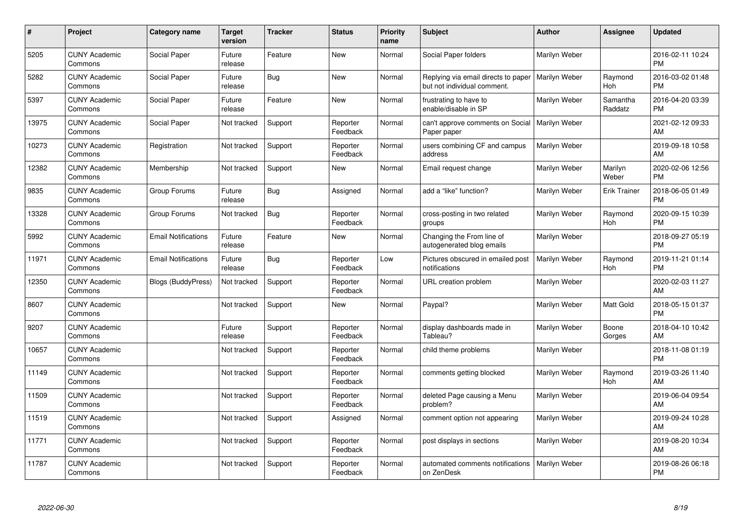| #     | <b>Project</b>                  | Category name              | <b>Target</b><br>version | <b>Tracker</b> | <b>Status</b>        | <b>Priority</b><br>name | <b>Subject</b>                                                     | <b>Author</b> | Assignee            | <b>Updated</b>                |
|-------|---------------------------------|----------------------------|--------------------------|----------------|----------------------|-------------------------|--------------------------------------------------------------------|---------------|---------------------|-------------------------------|
| 5205  | <b>CUNY Academic</b><br>Commons | Social Paper               | Future<br>release        | Feature        | <b>New</b>           | Normal                  | Social Paper folders                                               | Marilyn Weber |                     | 2016-02-11 10:24<br><b>PM</b> |
| 5282  | <b>CUNY Academic</b><br>Commons | Social Paper               | Future<br>release        | Bug            | New                  | Normal                  | Replying via email directs to paper<br>but not individual comment. | Marilyn Weber | Raymond<br>Hoh      | 2016-03-02 01:48<br><b>PM</b> |
| 5397  | <b>CUNY Academic</b><br>Commons | Social Paper               | Future<br>release        | Feature        | <b>New</b>           | Normal                  | frustrating to have to<br>enable/disable in SP                     | Marilyn Weber | Samantha<br>Raddatz | 2016-04-20 03:39<br><b>PM</b> |
| 13975 | <b>CUNY Academic</b><br>Commons | Social Paper               | Not tracked              | Support        | Reporter<br>Feedback | Normal                  | can't approve comments on Social<br>Paper paper                    | Marilyn Weber |                     | 2021-02-12 09:33<br>AM        |
| 10273 | <b>CUNY Academic</b><br>Commons | Registration               | Not tracked              | Support        | Reporter<br>Feedback | Normal                  | users combining CF and campus<br>address                           | Marilyn Weber |                     | 2019-09-18 10:58<br>AM        |
| 12382 | <b>CUNY Academic</b><br>Commons | Membership                 | Not tracked              | Support        | <b>New</b>           | Normal                  | Email request change                                               | Marilyn Weber | Marilyn<br>Weber    | 2020-02-06 12:56<br><b>PM</b> |
| 9835  | <b>CUNY Academic</b><br>Commons | Group Forums               | Future<br>release        | <b>Bug</b>     | Assigned             | Normal                  | add a "like" function?                                             | Marilyn Weber | <b>Erik Trainer</b> | 2018-06-05 01:49<br><b>PM</b> |
| 13328 | <b>CUNY Academic</b><br>Commons | Group Forums               | Not tracked              | <b>Bug</b>     | Reporter<br>Feedback | Normal                  | cross-posting in two related<br>groups                             | Marilyn Weber | Raymond<br>Hoh      | 2020-09-15 10:39<br><b>PM</b> |
| 5992  | <b>CUNY Academic</b><br>Commons | <b>Email Notifications</b> | Future<br>release        | Feature        | <b>New</b>           | Normal                  | Changing the From line of<br>autogenerated blog emails             | Marilyn Weber |                     | 2018-09-27 05:19<br><b>PM</b> |
| 11971 | <b>CUNY Academic</b><br>Commons | <b>Email Notifications</b> | Future<br>release        | Bug            | Reporter<br>Feedback | Low                     | Pictures obscured in emailed post<br>notifications                 | Marilyn Weber | Raymond<br>Hoh      | 2019-11-21 01:14<br><b>PM</b> |
| 12350 | <b>CUNY Academic</b><br>Commons | <b>Blogs (BuddyPress)</b>  | Not tracked              | Support        | Reporter<br>Feedback | Normal                  | URL creation problem                                               | Marilyn Weber |                     | 2020-02-03 11:27<br>AM        |
| 8607  | <b>CUNY Academic</b><br>Commons |                            | Not tracked              | Support        | <b>New</b>           | Normal                  | Paypal?                                                            | Marilyn Weber | Matt Gold           | 2018-05-15 01:37<br><b>PM</b> |
| 9207  | <b>CUNY Academic</b><br>Commons |                            | Future<br>release        | Support        | Reporter<br>Feedback | Normal                  | display dashboards made in<br>Tableau?                             | Marilyn Weber | Boone<br>Gorges     | 2018-04-10 10:42<br>AM        |
| 10657 | <b>CUNY Academic</b><br>Commons |                            | Not tracked              | Support        | Reporter<br>Feedback | Normal                  | child theme problems                                               | Marilyn Weber |                     | 2018-11-08 01:19<br><b>PM</b> |
| 11149 | <b>CUNY Academic</b><br>Commons |                            | Not tracked              | Support        | Reporter<br>Feedback | Normal                  | comments getting blocked                                           | Marilyn Weber | Raymond<br>Hoh      | 2019-03-26 11:40<br>AM        |
| 11509 | <b>CUNY Academic</b><br>Commons |                            | Not tracked              | Support        | Reporter<br>Feedback | Normal                  | deleted Page causing a Menu<br>problem?                            | Marilyn Weber |                     | 2019-06-04 09:54<br>AM        |
| 11519 | <b>CUNY Academic</b><br>Commons |                            | Not tracked              | Support        | Assigned             | Normal                  | comment option not appearing                                       | Marilyn Weber |                     | 2019-09-24 10:28<br>AM        |
| 11771 | <b>CUNY Academic</b><br>Commons |                            | Not tracked              | Support        | Reporter<br>Feedback | Normal                  | post displays in sections                                          | Marilyn Weber |                     | 2019-08-20 10:34<br>AM        |
| 11787 | <b>CUNY Academic</b><br>Commons |                            | Not tracked              | Support        | Reporter<br>Feedback | Normal                  | automated comments notifications<br>on ZenDesk                     | Marilyn Weber |                     | 2019-08-26 06:18<br><b>PM</b> |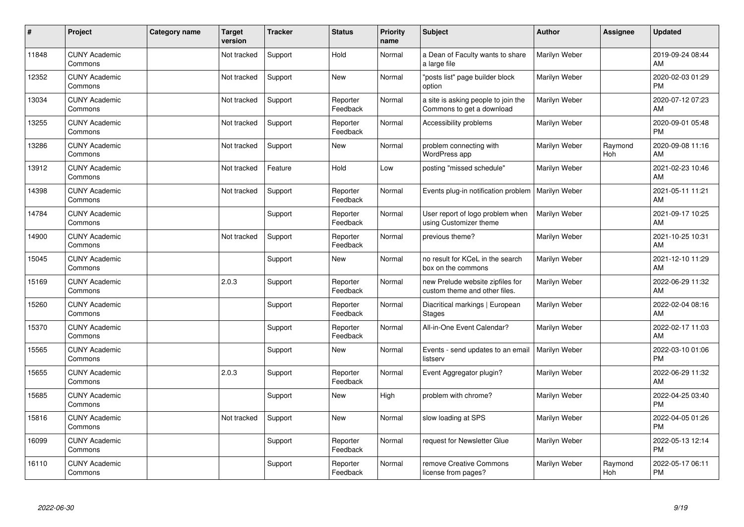| $\vert$ # | Project                         | Category name | <b>Target</b><br>version | <b>Tracker</b> | <b>Status</b>        | <b>Priority</b><br>name | <b>Subject</b>                                                    | <b>Author</b> | <b>Assignee</b> | <b>Updated</b>                |
|-----------|---------------------------------|---------------|--------------------------|----------------|----------------------|-------------------------|-------------------------------------------------------------------|---------------|-----------------|-------------------------------|
| 11848     | <b>CUNY Academic</b><br>Commons |               | Not tracked              | Support        | Hold                 | Normal                  | a Dean of Faculty wants to share<br>a large file                  | Marilyn Weber |                 | 2019-09-24 08:44<br>AM        |
| 12352     | <b>CUNY Academic</b><br>Commons |               | Not tracked              | Support        | <b>New</b>           | Normal                  | "posts list" page builder block<br>option                         | Marilyn Weber |                 | 2020-02-03 01:29<br><b>PM</b> |
| 13034     | <b>CUNY Academic</b><br>Commons |               | Not tracked              | Support        | Reporter<br>Feedback | Normal                  | a site is asking people to join the<br>Commons to get a download  | Marilyn Weber |                 | 2020-07-12 07:23<br>AM        |
| 13255     | <b>CUNY Academic</b><br>Commons |               | Not tracked              | Support        | Reporter<br>Feedback | Normal                  | Accessibility problems                                            | Marilyn Weber |                 | 2020-09-01 05:48<br><b>PM</b> |
| 13286     | <b>CUNY Academic</b><br>Commons |               | Not tracked              | Support        | <b>New</b>           | Normal                  | problem connecting with<br>WordPress app                          | Marilyn Weber | Raymond<br>Hoh  | 2020-09-08 11:16<br><b>AM</b> |
| 13912     | <b>CUNY Academic</b><br>Commons |               | Not tracked              | Feature        | Hold                 | Low                     | posting "missed schedule"                                         | Marilyn Weber |                 | 2021-02-23 10:46<br>AM        |
| 14398     | <b>CUNY Academic</b><br>Commons |               | Not tracked              | Support        | Reporter<br>Feedback | Normal                  | Events plug-in notification problem                               | Marilyn Weber |                 | 2021-05-11 11:21<br>AM        |
| 14784     | <b>CUNY Academic</b><br>Commons |               |                          | Support        | Reporter<br>Feedback | Normal                  | User report of logo problem when<br>using Customizer theme        | Marilyn Weber |                 | 2021-09-17 10:25<br>AM        |
| 14900     | <b>CUNY Academic</b><br>Commons |               | Not tracked              | Support        | Reporter<br>Feedback | Normal                  | previous theme?                                                   | Marilyn Weber |                 | 2021-10-25 10:31<br>AM        |
| 15045     | <b>CUNY Academic</b><br>Commons |               |                          | Support        | <b>New</b>           | Normal                  | no result for KCeL in the search<br>box on the commons            | Marilyn Weber |                 | 2021-12-10 11:29<br>AM        |
| 15169     | <b>CUNY Academic</b><br>Commons |               | 2.0.3                    | Support        | Reporter<br>Feedback | Normal                  | new Prelude website zipfiles for<br>custom theme and other files. | Marilyn Weber |                 | 2022-06-29 11:32<br>AM        |
| 15260     | <b>CUNY Academic</b><br>Commons |               |                          | Support        | Reporter<br>Feedback | Normal                  | Diacritical markings   European<br><b>Stages</b>                  | Marilyn Weber |                 | 2022-02-04 08:16<br>AM        |
| 15370     | <b>CUNY Academic</b><br>Commons |               |                          | Support        | Reporter<br>Feedback | Normal                  | All-in-One Event Calendar?                                        | Marilyn Weber |                 | 2022-02-17 11:03<br>AM        |
| 15565     | <b>CUNY Academic</b><br>Commons |               |                          | Support        | <b>New</b>           | Normal                  | Events - send updates to an email<br>listserv                     | Marilyn Weber |                 | 2022-03-10 01:06<br><b>PM</b> |
| 15655     | <b>CUNY Academic</b><br>Commons |               | 2.0.3                    | Support        | Reporter<br>Feedback | Normal                  | Event Aggregator plugin?                                          | Marilyn Weber |                 | 2022-06-29 11:32<br><b>AM</b> |
| 15685     | <b>CUNY Academic</b><br>Commons |               |                          | Support        | <b>New</b>           | High                    | problem with chrome?                                              | Marilyn Weber |                 | 2022-04-25 03:40<br><b>PM</b> |
| 15816     | <b>CUNY Academic</b><br>Commons |               | Not tracked              | Support        | New                  | Normal                  | slow loading at SPS                                               | Marilyn Weber |                 | 2022-04-05 01:26<br><b>PM</b> |
| 16099     | <b>CUNY Academic</b><br>Commons |               |                          | Support        | Reporter<br>Feedback | Normal                  | request for Newsletter Glue                                       | Marilyn Weber |                 | 2022-05-13 12:14<br><b>PM</b> |
| 16110     | <b>CUNY Academic</b><br>Commons |               |                          | Support        | Reporter<br>Feedback | Normal                  | remove Creative Commons<br>license from pages?                    | Marilyn Weber | Raymond<br>Hoh  | 2022-05-17 06:11<br>PM        |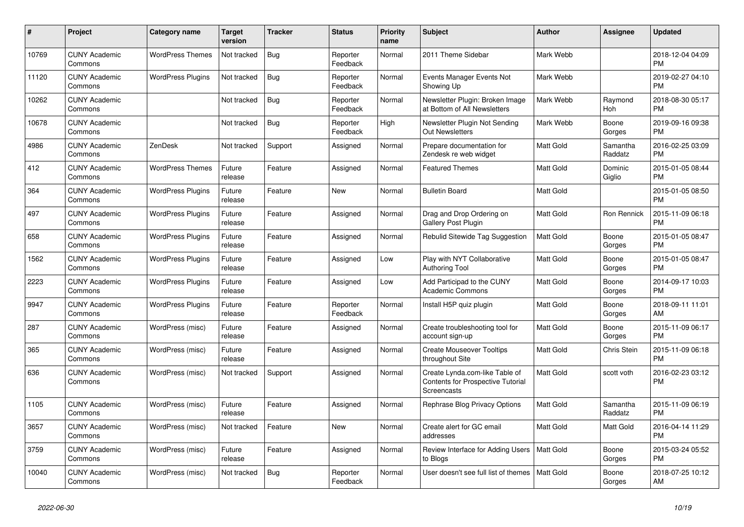| $\#$  | Project                         | <b>Category name</b>     | <b>Target</b><br>version | <b>Tracker</b> | <b>Status</b>        | <b>Priority</b><br>name | <b>Subject</b>                                                                                   | <b>Author</b>    | <b>Assignee</b>     | <b>Updated</b>                |
|-------|---------------------------------|--------------------------|--------------------------|----------------|----------------------|-------------------------|--------------------------------------------------------------------------------------------------|------------------|---------------------|-------------------------------|
| 10769 | <b>CUNY Academic</b><br>Commons | <b>WordPress Themes</b>  | Not tracked              | <b>Bug</b>     | Reporter<br>Feedback | Normal                  | 2011 Theme Sidebar                                                                               | Mark Webb        |                     | 2018-12-04 04:09<br><b>PM</b> |
| 11120 | <b>CUNY Academic</b><br>Commons | <b>WordPress Plugins</b> | Not tracked              | Bug            | Reporter<br>Feedback | Normal                  | Events Manager Events Not<br>Showing Up                                                          | Mark Webb        |                     | 2019-02-27 04:10<br><b>PM</b> |
| 10262 | <b>CUNY Academic</b><br>Commons |                          | Not tracked              | Bug            | Reporter<br>Feedback | Normal                  | Newsletter Plugin: Broken Image<br>at Bottom of All Newsletters                                  | Mark Webb        | Raymond<br>Hoh      | 2018-08-30 05:17<br><b>PM</b> |
| 10678 | <b>CUNY Academic</b><br>Commons |                          | Not tracked              | <b>Bug</b>     | Reporter<br>Feedback | High                    | Newsletter Plugin Not Sending<br><b>Out Newsletters</b>                                          | Mark Webb        | Boone<br>Gorges     | 2019-09-16 09:38<br><b>PM</b> |
| 4986  | <b>CUNY Academic</b><br>Commons | ZenDesk                  | Not tracked              | Support        | Assigned             | Normal                  | Prepare documentation for<br>Zendesk re web widget                                               | Matt Gold        | Samantha<br>Raddatz | 2016-02-25 03:09<br><b>PM</b> |
| 412   | <b>CUNY Academic</b><br>Commons | <b>WordPress Themes</b>  | Future<br>release        | Feature        | Assigned             | Normal                  | <b>Featured Themes</b>                                                                           | <b>Matt Gold</b> | Dominic<br>Giglio   | 2015-01-05 08:44<br><b>PM</b> |
| 364   | <b>CUNY Academic</b><br>Commons | <b>WordPress Plugins</b> | Future<br>release        | Feature        | <b>New</b>           | Normal                  | <b>Bulletin Board</b>                                                                            | <b>Matt Gold</b> |                     | 2015-01-05 08:50<br><b>PM</b> |
| 497   | <b>CUNY Academic</b><br>Commons | <b>WordPress Plugins</b> | Future<br>release        | Feature        | Assigned             | Normal                  | Drag and Drop Ordering on<br>Gallery Post Plugin                                                 | Matt Gold        | Ron Rennick         | 2015-11-09 06:18<br><b>PM</b> |
| 658   | <b>CUNY Academic</b><br>Commons | <b>WordPress Plugins</b> | Future<br>release        | Feature        | Assigned             | Normal                  | Rebulid Sitewide Tag Suggestion                                                                  | Matt Gold        | Boone<br>Gorges     | 2015-01-05 08:47<br><b>PM</b> |
| 1562  | <b>CUNY Academic</b><br>Commons | <b>WordPress Plugins</b> | Future<br>release        | Feature        | Assigned             | Low                     | Play with NYT Collaborative<br>Authoring Tool                                                    | <b>Matt Gold</b> | Boone<br>Gorges     | 2015-01-05 08:47<br><b>PM</b> |
| 2223  | <b>CUNY Academic</b><br>Commons | <b>WordPress Plugins</b> | Future<br>release        | Feature        | Assigned             | Low                     | Add Participad to the CUNY<br><b>Academic Commons</b>                                            | Matt Gold        | Boone<br>Gorges     | 2014-09-17 10:03<br><b>PM</b> |
| 9947  | <b>CUNY Academic</b><br>Commons | <b>WordPress Plugins</b> | Future<br>release        | Feature        | Reporter<br>Feedback | Normal                  | Install H5P quiz plugin                                                                          | Matt Gold        | Boone<br>Gorges     | 2018-09-11 11:01<br>AM        |
| 287   | <b>CUNY Academic</b><br>Commons | WordPress (misc)         | Future<br>release        | Feature        | Assigned             | Normal                  | Create troubleshooting tool for<br>account sign-up                                               | <b>Matt Gold</b> | Boone<br>Gorges     | 2015-11-09 06:17<br><b>PM</b> |
| 365   | <b>CUNY Academic</b><br>Commons | WordPress (misc)         | Future<br>release        | Feature        | Assigned             | Normal                  | <b>Create Mouseover Tooltips</b><br>throughout Site                                              | <b>Matt Gold</b> | <b>Chris Stein</b>  | 2015-11-09 06:18<br><b>PM</b> |
| 636   | <b>CUNY Academic</b><br>Commons | WordPress (misc)         | Not tracked              | Support        | Assigned             | Normal                  | Create Lynda.com-like Table of<br><b>Contents for Prospective Tutorial</b><br><b>Screencasts</b> | Matt Gold        | scott voth          | 2016-02-23 03:12<br><b>PM</b> |
| 1105  | <b>CUNY Academic</b><br>Commons | WordPress (misc)         | Future<br>release        | Feature        | Assigned             | Normal                  | Rephrase Blog Privacy Options                                                                    | <b>Matt Gold</b> | Samantha<br>Raddatz | 2015-11-09 06:19<br><b>PM</b> |
| 3657  | <b>CUNY Academic</b><br>Commons | WordPress (misc)         | Not tracked              | Feature        | New                  | Normal                  | Create alert for GC email<br>addresses                                                           | Matt Gold        | Matt Gold           | 2016-04-14 11:29<br><b>PM</b> |
| 3759  | <b>CUNY Academic</b><br>Commons | WordPress (misc)         | Future<br>release        | Feature        | Assigned             | Normal                  | Review Interface for Adding Users<br>to Blogs                                                    | Matt Gold        | Boone<br>Gorges     | 2015-03-24 05:52<br><b>PM</b> |
| 10040 | <b>CUNY Academic</b><br>Commons | WordPress (misc)         | Not tracked              | Bug            | Reporter<br>Feedback | Normal                  | User doesn't see full list of themes                                                             | <b>Matt Gold</b> | Boone<br>Gorges     | 2018-07-25 10:12<br>AM        |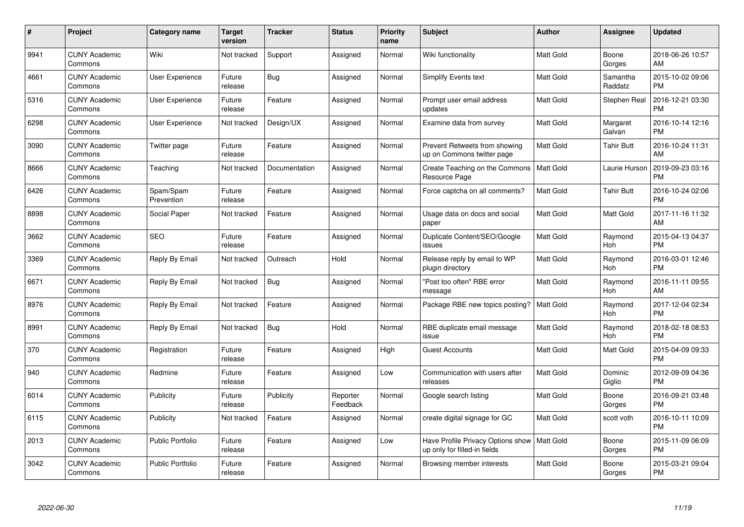| $\#$ | Project                         | <b>Category name</b>    | Target<br>version | <b>Tracker</b> | <b>Status</b>        | Priority<br>name | <b>Subject</b>                                                    | <b>Author</b>    | <b>Assignee</b>     | <b>Updated</b>                |
|------|---------------------------------|-------------------------|-------------------|----------------|----------------------|------------------|-------------------------------------------------------------------|------------------|---------------------|-------------------------------|
| 9941 | <b>CUNY Academic</b><br>Commons | Wiki                    | Not tracked       | Support        | Assigned             | Normal           | Wiki functionality                                                | <b>Matt Gold</b> | Boone<br>Gorges     | 2018-06-26 10:57<br>AM        |
| 4661 | <b>CUNY Academic</b><br>Commons | <b>User Experience</b>  | Future<br>release | Bug            | Assigned             | Normal           | Simplify Events text                                              | <b>Matt Gold</b> | Samantha<br>Raddatz | 2015-10-02 09:06<br><b>PM</b> |
| 5316 | <b>CUNY Academic</b><br>Commons | User Experience         | Future<br>release | Feature        | Assigned             | Normal           | Prompt user email address<br>updates                              | Matt Gold        | Stephen Real        | 2016-12-21 03:30<br><b>PM</b> |
| 6298 | <b>CUNY Academic</b><br>Commons | User Experience         | Not tracked       | Design/UX      | Assigned             | Normal           | Examine data from survey                                          | <b>Matt Gold</b> | Margaret<br>Galvan  | 2016-10-14 12:16<br><b>PM</b> |
| 3090 | <b>CUNY Academic</b><br>Commons | Twitter page            | Future<br>release | Feature        | Assigned             | Normal           | Prevent Retweets from showing<br>up on Commons twitter page       | <b>Matt Gold</b> | <b>Tahir Butt</b>   | 2016-10-24 11:31<br>AM        |
| 8666 | <b>CUNY Academic</b><br>Commons | Teaching                | Not tracked       | Documentation  | Assigned             | Normal           | Create Teaching on the Commons<br>Resource Page                   | <b>Matt Gold</b> | Laurie Hurson       | 2019-09-23 03:16<br><b>PM</b> |
| 6426 | <b>CUNY Academic</b><br>Commons | Spam/Spam<br>Prevention | Future<br>release | Feature        | Assigned             | Normal           | Force captcha on all comments?                                    | Matt Gold        | <b>Tahir Butt</b>   | 2016-10-24 02:06<br><b>PM</b> |
| 8898 | <b>CUNY Academic</b><br>Commons | Social Paper            | Not tracked       | Feature        | Assigned             | Normal           | Usage data on docs and social<br>paper                            | <b>Matt Gold</b> | Matt Gold           | 2017-11-16 11:32<br>AM        |
| 3662 | <b>CUNY Academic</b><br>Commons | SEO                     | Future<br>release | Feature        | Assigned             | Normal           | Duplicate Content/SEO/Google<br>issues                            | <b>Matt Gold</b> | Raymond<br>Hoh      | 2015-04-13 04:37<br><b>PM</b> |
| 3369 | <b>CUNY Academic</b><br>Commons | Reply By Email          | Not tracked       | Outreach       | Hold                 | Normal           | Release reply by email to WP<br>plugin directory                  | <b>Matt Gold</b> | Raymond<br>Hoh      | 2016-03-01 12:46<br><b>PM</b> |
| 6671 | <b>CUNY Academic</b><br>Commons | Reply By Email          | Not tracked       | Bug            | Assigned             | Normal           | "Post too often" RBE error<br>message                             | Matt Gold        | Raymond<br>Hoh      | 2016-11-11 09:55<br>AM        |
| 8976 | <b>CUNY Academic</b><br>Commons | Reply By Email          | Not tracked       | Feature        | Assigned             | Normal           | Package RBE new topics posting?                                   | <b>Matt Gold</b> | Raymond<br>Hoh      | 2017-12-04 02:34<br><b>PM</b> |
| 8991 | <b>CUNY Academic</b><br>Commons | Reply By Email          | Not tracked       | Bug            | Hold                 | Normal           | RBE duplicate email message<br>issue                              | Matt Gold        | Raymond<br>Hoh      | 2018-02-18 08:53<br><b>PM</b> |
| 370  | <b>CUNY Academic</b><br>Commons | Registration            | Future<br>release | Feature        | Assigned             | High             | <b>Guest Accounts</b>                                             | Matt Gold        | Matt Gold           | 2015-04-09 09:33<br><b>PM</b> |
| 940  | <b>CUNY Academic</b><br>Commons | Redmine                 | Future<br>release | Feature        | Assigned             | Low              | Communication with users after<br>releases                        | <b>Matt Gold</b> | Dominic<br>Giglio   | 2012-09-09 04:36<br><b>PM</b> |
| 6014 | <b>CUNY Academic</b><br>Commons | Publicity               | Future<br>release | Publicity      | Reporter<br>Feedback | Normal           | Google search listing                                             | Matt Gold        | Boone<br>Gorges     | 2016-09-21 03:48<br><b>PM</b> |
| 6115 | <b>CUNY Academic</b><br>Commons | Publicity               | Not tracked       | Feature        | Assigned             | Normal           | create digital signage for GC                                     | <b>Matt Gold</b> | scott voth          | 2016-10-11 10:09<br><b>PM</b> |
| 2013 | <b>CUNY Academic</b><br>Commons | Public Portfolio        | Future<br>release | Feature        | Assigned             | Low              | Have Profile Privacy Options show<br>up only for filled-in fields | Matt Gold        | Boone<br>Gorges     | 2015-11-09 06:09<br><b>PM</b> |
| 3042 | CUNY Academic<br>Commons        | <b>Public Portfolio</b> | Future<br>release | Feature        | Assigned             | Normal           | Browsing member interests                                         | <b>Matt Gold</b> | Boone<br>Gorges     | 2015-03-21 09:04<br><b>PM</b> |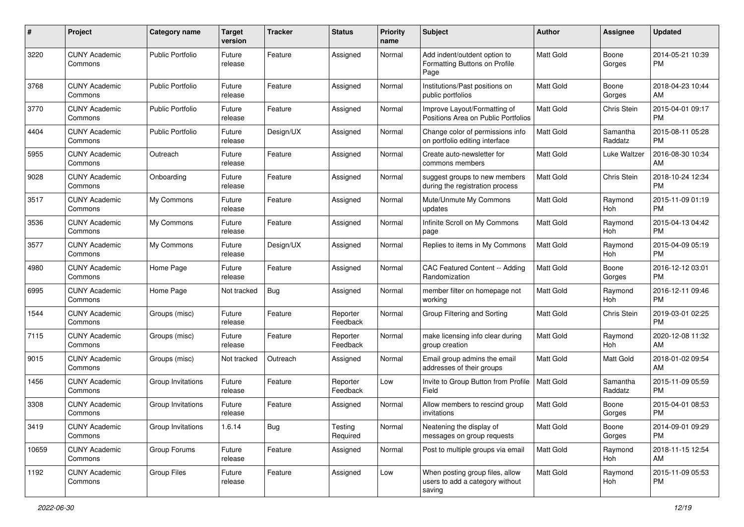| #     | Project                         | <b>Category name</b>    | <b>Target</b><br>version | <b>Tracker</b> | <b>Status</b>        | Priority<br>name | <b>Subject</b>                                                               | Author           | <b>Assignee</b>     | <b>Updated</b>                |
|-------|---------------------------------|-------------------------|--------------------------|----------------|----------------------|------------------|------------------------------------------------------------------------------|------------------|---------------------|-------------------------------|
| 3220  | <b>CUNY Academic</b><br>Commons | <b>Public Portfolio</b> | Future<br>release        | Feature        | Assigned             | Normal           | Add indent/outdent option to<br>Formatting Buttons on Profile<br>Page        | <b>Matt Gold</b> | Boone<br>Gorges     | 2014-05-21 10:39<br><b>PM</b> |
| 3768  | <b>CUNY Academic</b><br>Commons | <b>Public Portfolio</b> | Future<br>release        | Feature        | Assigned             | Normal           | Institutions/Past positions on<br>public portfolios                          | <b>Matt Gold</b> | Boone<br>Gorges     | 2018-04-23 10:44<br>AM        |
| 3770  | <b>CUNY Academic</b><br>Commons | <b>Public Portfolio</b> | Future<br>release        | Feature        | Assigned             | Normal           | Improve Layout/Formatting of<br>Positions Area on Public Portfolios          | <b>Matt Gold</b> | <b>Chris Stein</b>  | 2015-04-01 09:17<br><b>PM</b> |
| 4404  | <b>CUNY Academic</b><br>Commons | <b>Public Portfolio</b> | Future<br>release        | Design/UX      | Assigned             | Normal           | Change color of permissions info<br>on portfolio editing interface           | Matt Gold        | Samantha<br>Raddatz | 2015-08-11 05:28<br><b>PM</b> |
| 5955  | <b>CUNY Academic</b><br>Commons | Outreach                | Future<br>release        | Feature        | Assigned             | Normal           | Create auto-newsletter for<br>commons members                                | Matt Gold        | Luke Waltzer        | 2016-08-30 10:34<br>AM        |
| 9028  | <b>CUNY Academic</b><br>Commons | Onboarding              | Future<br>release        | Feature        | Assigned             | Normal           | suggest groups to new members<br>during the registration process             | <b>Matt Gold</b> | Chris Stein         | 2018-10-24 12:34<br><b>PM</b> |
| 3517  | <b>CUNY Academic</b><br>Commons | My Commons              | Future<br>release        | Feature        | Assigned             | Normal           | Mute/Unmute My Commons<br>updates                                            | Matt Gold        | Raymond<br>Hoh      | 2015-11-09 01:19<br><b>PM</b> |
| 3536  | <b>CUNY Academic</b><br>Commons | My Commons              | Future<br>release        | Feature        | Assigned             | Normal           | Infinite Scroll on My Commons<br>page                                        | Matt Gold        | Raymond<br>Hoh      | 2015-04-13 04:42<br><b>PM</b> |
| 3577  | <b>CUNY Academic</b><br>Commons | My Commons              | Future<br>release        | Design/UX      | Assigned             | Normal           | Replies to items in My Commons                                               | <b>Matt Gold</b> | Raymond<br>Hoh      | 2015-04-09 05:19<br><b>PM</b> |
| 4980  | <b>CUNY Academic</b><br>Commons | Home Page               | Future<br>release        | Feature        | Assigned             | Normal           | CAC Featured Content -- Adding<br>Randomization                              | <b>Matt Gold</b> | Boone<br>Gorges     | 2016-12-12 03:01<br><b>PM</b> |
| 6995  | <b>CUNY Academic</b><br>Commons | Home Page               | Not tracked              | Bug            | Assigned             | Normal           | member filter on homepage not<br>working                                     | Matt Gold        | Raymond<br>Hoh      | 2016-12-11 09:46<br><b>PM</b> |
| 1544  | <b>CUNY Academic</b><br>Commons | Groups (misc)           | Future<br>release        | Feature        | Reporter<br>Feedback | Normal           | Group Filtering and Sorting                                                  | <b>Matt Gold</b> | Chris Stein         | 2019-03-01 02:25<br><b>PM</b> |
| 7115  | <b>CUNY Academic</b><br>Commons | Groups (misc)           | Future<br>release        | Feature        | Reporter<br>Feedback | Normal           | make licensing info clear during<br>group creation                           | <b>Matt Gold</b> | Raymond<br>Hoh      | 2020-12-08 11:32<br>AM        |
| 9015  | <b>CUNY Academic</b><br>Commons | Groups (misc)           | Not tracked              | Outreach       | Assigned             | Normal           | Email group admins the email<br>addresses of their groups                    | <b>Matt Gold</b> | Matt Gold           | 2018-01-02 09:54<br>AM        |
| 1456  | <b>CUNY Academic</b><br>Commons | Group Invitations       | Future<br>release        | Feature        | Reporter<br>Feedback | Low              | Invite to Group Button from Profile<br>Field                                 | <b>Matt Gold</b> | Samantha<br>Raddatz | 2015-11-09 05:59<br><b>PM</b> |
| 3308  | <b>CUNY Academic</b><br>Commons | Group Invitations       | Future<br>release        | Feature        | Assigned             | Normal           | Allow members to rescind group<br>invitations                                | <b>Matt Gold</b> | Boone<br>Gorges     | 2015-04-01 08:53<br><b>PM</b> |
| 3419  | <b>CUNY Academic</b><br>Commons | Group Invitations       | 1.6.14                   | Bug            | Testing<br>Required  | Normal           | Neatening the display of<br>messages on group requests                       | Matt Gold        | Boone<br>Gorges     | 2014-09-01 09:29<br><b>PM</b> |
| 10659 | <b>CUNY Academic</b><br>Commons | Group Forums            | Future<br>release        | Feature        | Assigned             | Normal           | Post to multiple groups via email                                            | Matt Gold        | Raymond<br>Hoh      | 2018-11-15 12:54<br>AM        |
| 1192  | <b>CUNY Academic</b><br>Commons | Group Files             | Future<br>release        | Feature        | Assigned             | Low              | When posting group files, allow<br>users to add a category without<br>saving | Matt Gold        | Raymond<br>Hoh      | 2015-11-09 05:53<br>PM        |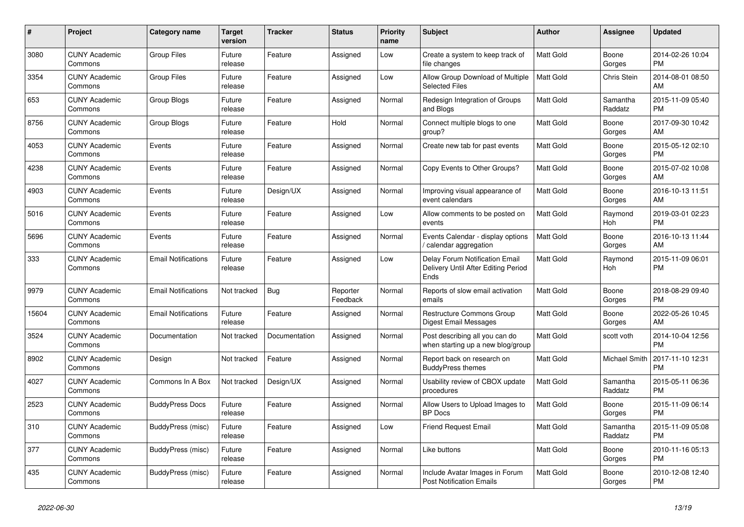| #     | Project                         | <b>Category name</b>       | Target<br>version | <b>Tracker</b> | <b>Status</b>        | Priority<br>name | <b>Subject</b>                                                                | <b>Author</b>    | <b>Assignee</b>     | <b>Updated</b>                |
|-------|---------------------------------|----------------------------|-------------------|----------------|----------------------|------------------|-------------------------------------------------------------------------------|------------------|---------------------|-------------------------------|
| 3080  | <b>CUNY Academic</b><br>Commons | <b>Group Files</b>         | Future<br>release | Feature        | Assigned             | Low              | Create a system to keep track of<br>file changes                              | Matt Gold        | Boone<br>Gorges     | 2014-02-26 10:04<br>PM.       |
| 3354  | <b>CUNY Academic</b><br>Commons | <b>Group Files</b>         | Future<br>release | Feature        | Assigned             | Low              | Allow Group Download of Multiple<br><b>Selected Files</b>                     | <b>Matt Gold</b> | <b>Chris Stein</b>  | 2014-08-01 08:50<br>AM        |
| 653   | <b>CUNY Academic</b><br>Commons | Group Blogs                | Future<br>release | Feature        | Assigned             | Normal           | Redesign Integration of Groups<br>and Blogs                                   | Matt Gold        | Samantha<br>Raddatz | 2015-11-09 05:40<br><b>PM</b> |
| 8756  | <b>CUNY Academic</b><br>Commons | <b>Group Blogs</b>         | Future<br>release | Feature        | Hold                 | Normal           | Connect multiple blogs to one<br>group?                                       | <b>Matt Gold</b> | Boone<br>Gorges     | 2017-09-30 10:42<br>AM        |
| 4053  | <b>CUNY Academic</b><br>Commons | Events                     | Future<br>release | Feature        | Assigned             | Normal           | Create new tab for past events                                                | Matt Gold        | Boone<br>Gorges     | 2015-05-12 02:10<br><b>PM</b> |
| 4238  | <b>CUNY Academic</b><br>Commons | Events                     | Future<br>release | Feature        | Assigned             | Normal           | Copy Events to Other Groups?                                                  | Matt Gold        | Boone<br>Gorges     | 2015-07-02 10:08<br><b>AM</b> |
| 4903  | <b>CUNY Academic</b><br>Commons | Events                     | Future<br>release | Design/UX      | Assigned             | Normal           | Improving visual appearance of<br>event calendars                             | <b>Matt Gold</b> | Boone<br>Gorges     | 2016-10-13 11:51<br>AM        |
| 5016  | <b>CUNY Academic</b><br>Commons | Events                     | Future<br>release | Feature        | Assigned             | Low              | Allow comments to be posted on<br>events                                      | <b>Matt Gold</b> | Raymond<br>Hoh      | 2019-03-01 02:23<br><b>PM</b> |
| 5696  | <b>CUNY Academic</b><br>Commons | Events                     | Future<br>release | Feature        | Assigned             | Normal           | Events Calendar - display options<br>calendar aggregation                     | Matt Gold        | Boone<br>Gorges     | 2016-10-13 11:44<br>AM        |
| 333   | <b>CUNY Academic</b><br>Commons | <b>Email Notifications</b> | Future<br>release | Feature        | Assigned             | Low              | Delay Forum Notification Email<br>Delivery Until After Editing Period<br>Ends | Matt Gold        | Raymond<br>Hoh      | 2015-11-09 06:01<br>PM        |
| 9979  | <b>CUNY Academic</b><br>Commons | <b>Email Notifications</b> | Not tracked       | Bug            | Reporter<br>Feedback | Normal           | Reports of slow email activation<br>emails                                    | Matt Gold        | Boone<br>Gorges     | 2018-08-29 09:40<br><b>PM</b> |
| 15604 | <b>CUNY Academic</b><br>Commons | <b>Email Notifications</b> | Future<br>release | Feature        | Assigned             | Normal           | Restructure Commons Group<br><b>Digest Email Messages</b>                     | <b>Matt Gold</b> | Boone<br>Gorges     | 2022-05-26 10:45<br>AM        |
| 3524  | <b>CUNY Academic</b><br>Commons | Documentation              | Not tracked       | Documentation  | Assigned             | Normal           | Post describing all you can do<br>when starting up a new blog/group           | Matt Gold        | scott voth          | 2014-10-04 12:56<br><b>PM</b> |
| 8902  | <b>CUNY Academic</b><br>Commons | Design                     | Not tracked       | Feature        | Assigned             | Normal           | Report back on research on<br><b>BuddyPress themes</b>                        | Matt Gold        | Michael Smith       | 2017-11-10 12:31<br><b>PM</b> |
| 4027  | <b>CUNY Academic</b><br>Commons | Commons In A Box           | Not tracked       | Design/UX      | Assigned             | Normal           | Usability review of CBOX update<br>procedures                                 | <b>Matt Gold</b> | Samantha<br>Raddatz | 2015-05-11 06:36<br><b>PM</b> |
| 2523  | <b>CUNY Academic</b><br>Commons | <b>BuddyPress Docs</b>     | Future<br>release | Feature        | Assigned             | Normal           | Allow Users to Upload Images to<br><b>BP</b> Docs                             | Matt Gold        | Boone<br>Gorges     | 2015-11-09 06:14<br><b>PM</b> |
| 310   | <b>CUNY Academic</b><br>Commons | <b>BuddyPress</b> (misc)   | Future<br>release | Feature        | Assigned             | Low              | <b>Friend Request Email</b>                                                   | Matt Gold        | Samantha<br>Raddatz | 2015-11-09 05:08<br><b>PM</b> |
| 377   | <b>CUNY Academic</b><br>Commons | BuddyPress (misc)          | Future<br>release | Feature        | Assigned             | Normal           | Like buttons                                                                  | Matt Gold        | Boone<br>Gorges     | 2010-11-16 05:13<br><b>PM</b> |
| 435   | <b>CUNY Academic</b><br>Commons | BuddyPress (misc)          | Future<br>release | Feature        | Assigned             | Normal           | Include Avatar Images in Forum<br><b>Post Notification Emails</b>             | Matt Gold        | Boone<br>Gorges     | 2010-12-08 12:40<br><b>PM</b> |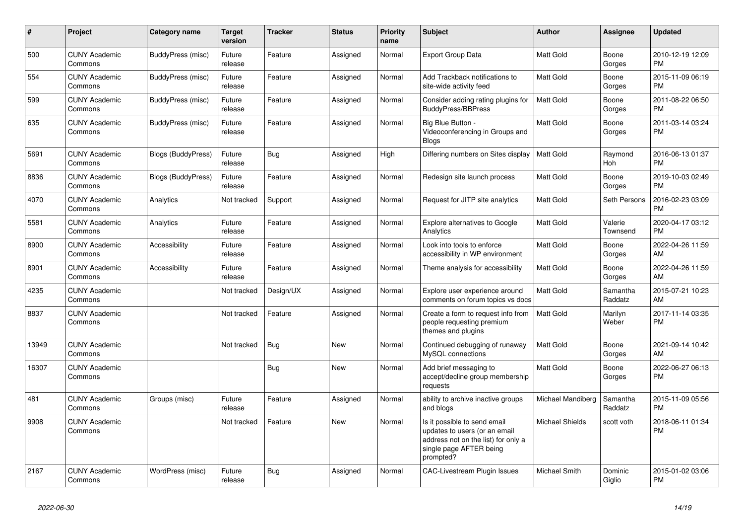| #     | <b>Project</b>                  | Category name             | <b>Target</b><br>version | <b>Tracker</b> | <b>Status</b> | <b>Priority</b><br>name | <b>Subject</b>                                                                                                                               | <b>Author</b>        | Assignee            | <b>Updated</b>                |
|-------|---------------------------------|---------------------------|--------------------------|----------------|---------------|-------------------------|----------------------------------------------------------------------------------------------------------------------------------------------|----------------------|---------------------|-------------------------------|
| 500   | <b>CUNY Academic</b><br>Commons | BuddyPress (misc)         | Future<br>release        | Feature        | Assigned      | Normal                  | Export Group Data                                                                                                                            | <b>Matt Gold</b>     | Boone<br>Gorges     | 2010-12-19 12:09<br><b>PM</b> |
| 554   | <b>CUNY Academic</b><br>Commons | BuddyPress (misc)         | Future<br>release        | Feature        | Assigned      | Normal                  | Add Trackback notifications to<br>site-wide activity feed                                                                                    | <b>Matt Gold</b>     | Boone<br>Gorges     | 2015-11-09 06:19<br><b>PM</b> |
| 599   | <b>CUNY Academic</b><br>Commons | BuddyPress (misc)         | Future<br>release        | Feature        | Assigned      | Normal                  | Consider adding rating plugins for<br><b>BuddyPress/BBPress</b>                                                                              | <b>Matt Gold</b>     | Boone<br>Gorges     | 2011-08-22 06:50<br><b>PM</b> |
| 635   | <b>CUNY Academic</b><br>Commons | BuddyPress (misc)         | Future<br>release        | Feature        | Assigned      | Normal                  | Big Blue Button -<br>Videoconferencing in Groups and<br><b>Blogs</b>                                                                         | <b>Matt Gold</b>     | Boone<br>Gorges     | 2011-03-14 03:24<br><b>PM</b> |
| 5691  | <b>CUNY Academic</b><br>Commons | Blogs (BuddyPress)        | Future<br>release        | Bug            | Assigned      | High                    | Differing numbers on Sites display                                                                                                           | <b>Matt Gold</b>     | Raymond<br>Hoh      | 2016-06-13 01:37<br><b>PM</b> |
| 8836  | <b>CUNY Academic</b><br>Commons | <b>Blogs (BuddyPress)</b> | Future<br>release        | Feature        | Assigned      | Normal                  | Redesign site launch process                                                                                                                 | <b>Matt Gold</b>     | Boone<br>Gorges     | 2019-10-03 02:49<br><b>PM</b> |
| 4070  | <b>CUNY Academic</b><br>Commons | Analytics                 | Not tracked              | Support        | Assigned      | Normal                  | Request for JITP site analytics                                                                                                              | <b>Matt Gold</b>     | Seth Persons        | 2016-02-23 03:09<br><b>PM</b> |
| 5581  | <b>CUNY Academic</b><br>Commons | Analytics                 | Future<br>release        | Feature        | Assigned      | Normal                  | Explore alternatives to Google<br>Analytics                                                                                                  | <b>Matt Gold</b>     | Valerie<br>Townsend | 2020-04-17 03:12<br><b>PM</b> |
| 8900  | <b>CUNY Academic</b><br>Commons | Accessibility             | Future<br>release        | Feature        | Assigned      | Normal                  | Look into tools to enforce<br>accessibility in WP environment                                                                                | <b>Matt Gold</b>     | Boone<br>Gorges     | 2022-04-26 11:59<br>AM        |
| 8901  | <b>CUNY Academic</b><br>Commons | Accessibility             | Future<br>release        | Feature        | Assigned      | Normal                  | Theme analysis for accessibility                                                                                                             | <b>Matt Gold</b>     | Boone<br>Gorges     | 2022-04-26 11:59<br>AM        |
| 4235  | <b>CUNY Academic</b><br>Commons |                           | Not tracked              | Design/UX      | Assigned      | Normal                  | Explore user experience around<br>comments on forum topics vs docs                                                                           | <b>Matt Gold</b>     | Samantha<br>Raddatz | 2015-07-21 10:23<br>AM        |
| 8837  | <b>CUNY Academic</b><br>Commons |                           | Not tracked              | Feature        | Assigned      | Normal                  | Create a form to request info from<br>people requesting premium<br>themes and plugins                                                        | <b>Matt Gold</b>     | Marilyn<br>Weber    | 2017-11-14 03:35<br><b>PM</b> |
| 13949 | <b>CUNY Academic</b><br>Commons |                           | Not tracked              | Bug            | New           | Normal                  | Continued debugging of runaway<br>MySQL connections                                                                                          | <b>Matt Gold</b>     | Boone<br>Gorges     | 2021-09-14 10:42<br>AM        |
| 16307 | <b>CUNY Academic</b><br>Commons |                           |                          | Bug            | <b>New</b>    | Normal                  | Add brief messaging to<br>accept/decline group membership<br>requests                                                                        | <b>Matt Gold</b>     | Boone<br>Gorges     | 2022-06-27 06:13<br><b>PM</b> |
| 481   | <b>CUNY Academic</b><br>Commons | Groups (misc)             | Future<br>release        | Feature        | Assigned      | Normal                  | ability to archive inactive groups<br>and blogs                                                                                              | Michael Mandiberg    | Samantha<br>Raddatz | 2015-11-09 05:56<br><b>PM</b> |
| 9908  | <b>CUNY Academic</b><br>Commons |                           | Not tracked              | Feature        | New           | Normal                  | Is it possible to send email<br>updates to users (or an email<br>address not on the list) for only a<br>single page AFTER being<br>prompted? | Michael Shields      | scott voth          | 2018-06-11 01:34<br><b>PM</b> |
| 2167  | <b>CUNY Academic</b><br>Commons | WordPress (misc)          | Future<br>release        | <b>Bug</b>     | Assigned      | Normal                  | <b>CAC-Livestream Plugin Issues</b>                                                                                                          | <b>Michael Smith</b> | Dominic<br>Giglio   | 2015-01-02 03:06<br><b>PM</b> |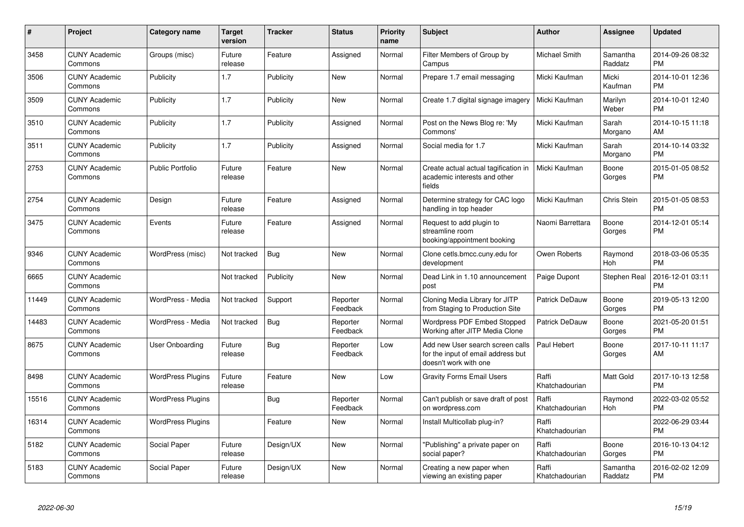| $\pmb{\#}$ | Project                         | <b>Category name</b>     | <b>Target</b><br>version | <b>Tracker</b> | <b>Status</b>        | <b>Priority</b><br>name | <b>Subject</b>                                                                                  | <b>Author</b>           | Assignee            | <b>Updated</b>                |
|------------|---------------------------------|--------------------------|--------------------------|----------------|----------------------|-------------------------|-------------------------------------------------------------------------------------------------|-------------------------|---------------------|-------------------------------|
| 3458       | <b>CUNY Academic</b><br>Commons | Groups (misc)            | Future<br>release        | Feature        | Assigned             | Normal                  | Filter Members of Group by<br>Campus                                                            | Michael Smith           | Samantha<br>Raddatz | 2014-09-26 08:32<br><b>PM</b> |
| 3506       | <b>CUNY Academic</b><br>Commons | Publicity                | 1.7                      | Publicity      | <b>New</b>           | Normal                  | Prepare 1.7 email messaging                                                                     | Micki Kaufman           | Micki<br>Kaufman    | 2014-10-01 12:36<br><b>PM</b> |
| 3509       | <b>CUNY Academic</b><br>Commons | Publicity                | 1.7                      | Publicity      | New                  | Normal                  | Create 1.7 digital signage imagery                                                              | Micki Kaufman           | Marilyn<br>Weber    | 2014-10-01 12:40<br><b>PM</b> |
| 3510       | <b>CUNY Academic</b><br>Commons | Publicity                | 1.7                      | Publicity      | Assigned             | Normal                  | Post on the News Blog re: 'My<br>Commons'                                                       | Micki Kaufman           | Sarah<br>Morgano    | 2014-10-15 11:18<br>AM        |
| 3511       | <b>CUNY Academic</b><br>Commons | Publicity                | 1.7                      | Publicity      | Assigned             | Normal                  | Social media for 1.7                                                                            | Micki Kaufman           | Sarah<br>Morgano    | 2014-10-14 03:32<br><b>PM</b> |
| 2753       | <b>CUNY Academic</b><br>Commons | <b>Public Portfolio</b>  | Future<br>release        | Feature        | <b>New</b>           | Normal                  | Create actual actual tagification in<br>academic interests and other<br>fields                  | Micki Kaufman           | Boone<br>Gorges     | 2015-01-05 08:52<br><b>PM</b> |
| 2754       | <b>CUNY Academic</b><br>Commons | Design                   | Future<br>release        | Feature        | Assigned             | Normal                  | Determine strategy for CAC logo<br>handling in top header                                       | Micki Kaufman           | Chris Stein         | 2015-01-05 08:53<br><b>PM</b> |
| 3475       | <b>CUNY Academic</b><br>Commons | Events                   | Future<br>release        | Feature        | Assigned             | Normal                  | Request to add plugin to<br>streamline room<br>booking/appointment booking                      | Naomi Barrettara        | Boone<br>Gorges     | 2014-12-01 05:14<br><b>PM</b> |
| 9346       | <b>CUNY Academic</b><br>Commons | WordPress (misc)         | Not tracked              | Bug            | <b>New</b>           | Normal                  | Clone cetls.bmcc.cuny.edu for<br>development                                                    | Owen Roberts            | Raymond<br>Hoh      | 2018-03-06 05:35<br><b>PM</b> |
| 6665       | <b>CUNY Academic</b><br>Commons |                          | Not tracked              | Publicity      | <b>New</b>           | Normal                  | Dead Link in 1.10 announcement<br>post                                                          | Paige Dupont            | Stephen Real        | 2016-12-01 03:11<br><b>PM</b> |
| 11449      | <b>CUNY Academic</b><br>Commons | WordPress - Media        | Not tracked              | Support        | Reporter<br>Feedback | Normal                  | Cloning Media Library for JITP<br>from Staging to Production Site                               | Patrick DeDauw          | Boone<br>Gorges     | 2019-05-13 12:00<br><b>PM</b> |
| 14483      | <b>CUNY Academic</b><br>Commons | WordPress - Media        | Not tracked              | Bug            | Reporter<br>Feedback | Normal                  | <b>Wordpress PDF Embed Stopped</b><br>Working after JITP Media Clone                            | Patrick DeDauw          | Boone<br>Gorges     | 2021-05-20 01:51<br><b>PM</b> |
| 8675       | <b>CUNY Academic</b><br>Commons | User Onboarding          | Future<br>release        | Bug            | Reporter<br>Feedback | Low                     | Add new User search screen calls<br>for the input of email address but<br>doesn't work with one | Paul Hebert             | Boone<br>Gorges     | 2017-10-11 11:17<br>AM        |
| 8498       | <b>CUNY Academic</b><br>Commons | <b>WordPress Plugins</b> | Future<br>release        | Feature        | New                  | Low                     | <b>Gravity Forms Email Users</b>                                                                | Raffi<br>Khatchadourian | Matt Gold           | 2017-10-13 12:58<br><b>PM</b> |
| 15516      | <b>CUNY Academic</b><br>Commons | <b>WordPress Plugins</b> |                          | Bug            | Reporter<br>Feedback | Normal                  | Can't publish or save draft of post<br>on wordpress.com                                         | Raffi<br>Khatchadourian | Raymond<br>Hoh      | 2022-03-02 05:52<br><b>PM</b> |
| 16314      | <b>CUNY Academic</b><br>Commons | <b>WordPress Plugins</b> |                          | Feature        | New                  | Normal                  | Install Multicollab plug-in?                                                                    | Raffi<br>Khatchadourian |                     | 2022-06-29 03:44<br><b>PM</b> |
| 5182       | <b>CUNY Academic</b><br>Commons | Social Paper             | Future<br>release        | Design/UX      | <b>New</b>           | Normal                  | "Publishing" a private paper on<br>social paper?                                                | Raffi<br>Khatchadourian | Boone<br>Gorges     | 2016-10-13 04:12<br><b>PM</b> |
| 5183       | <b>CUNY Academic</b><br>Commons | Social Paper             | Future<br>release        | Design/UX      | <b>New</b>           | Normal                  | Creating a new paper when<br>viewing an existing paper                                          | Raffi<br>Khatchadourian | Samantha<br>Raddatz | 2016-02-02 12:09<br><b>PM</b> |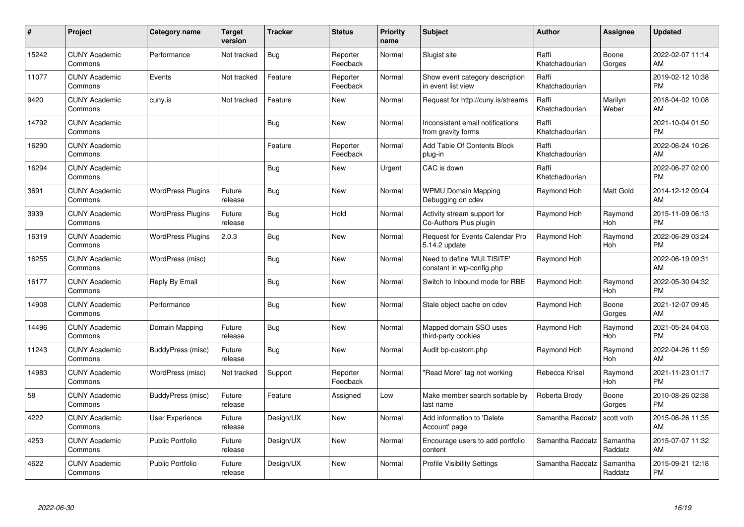| #     | Project                         | <b>Category name</b>     | <b>Target</b><br>version | <b>Tracker</b> | <b>Status</b>        | <b>Priority</b><br>name | <b>Subject</b>                                          | <b>Author</b>           | Assignee            | <b>Updated</b>                |
|-------|---------------------------------|--------------------------|--------------------------|----------------|----------------------|-------------------------|---------------------------------------------------------|-------------------------|---------------------|-------------------------------|
| 15242 | <b>CUNY Academic</b><br>Commons | Performance              | Not tracked              | Bug            | Reporter<br>Feedback | Normal                  | Slugist site                                            | Raffi<br>Khatchadourian | Boone<br>Gorges     | 2022-02-07 11:14<br>AM        |
| 11077 | <b>CUNY Academic</b><br>Commons | Events                   | Not tracked              | Feature        | Reporter<br>Feedback | Normal                  | Show event category description<br>in event list view   | Raffi<br>Khatchadourian |                     | 2019-02-12 10:38<br><b>PM</b> |
| 9420  | <b>CUNY Academic</b><br>Commons | cuny.is                  | Not tracked              | Feature        | <b>New</b>           | Normal                  | Request for http://cuny.is/streams                      | Raffi<br>Khatchadourian | Marilyn<br>Weber    | 2018-04-02 10:08<br>AM        |
| 14792 | <b>CUNY Academic</b><br>Commons |                          |                          | Bug            | <b>New</b>           | Normal                  | Inconsistent email notifications<br>from gravity forms  | Raffi<br>Khatchadourian |                     | 2021-10-04 01:50<br><b>PM</b> |
| 16290 | <b>CUNY Academic</b><br>Commons |                          |                          | Feature        | Reporter<br>Feedback | Normal                  | Add Table Of Contents Block<br>plug-in                  | Raffi<br>Khatchadourian |                     | 2022-06-24 10:26<br>AM        |
| 16294 | <b>CUNY Academic</b><br>Commons |                          |                          | <b>Bug</b>     | <b>New</b>           | Urgent                  | CAC is down                                             | Raffi<br>Khatchadourian |                     | 2022-06-27 02:00<br><b>PM</b> |
| 3691  | <b>CUNY Academic</b><br>Commons | <b>WordPress Plugins</b> | Future<br>release        | Bug            | New                  | Normal                  | <b>WPMU Domain Mapping</b><br>Debugging on cdev         | Raymond Hoh             | Matt Gold           | 2014-12-12 09:04<br>AM        |
| 3939  | <b>CUNY Academic</b><br>Commons | <b>WordPress Plugins</b> | Future<br>release        | Bug            | Hold                 | Normal                  | Activity stream support for<br>Co-Authors Plus plugin   | Raymond Hoh             | Raymond<br>Hoh      | 2015-11-09 06:13<br><b>PM</b> |
| 16319 | <b>CUNY Academic</b><br>Commons | <b>WordPress Plugins</b> | 2.0.3                    | Bug            | <b>New</b>           | Normal                  | Request for Events Calendar Pro<br>5.14.2 update        | Raymond Hoh             | Raymond<br>Hoh      | 2022-06-29 03:24<br><b>PM</b> |
| 16255 | <b>CUNY Academic</b><br>Commons | WordPress (misc)         |                          | Bug            | New                  | Normal                  | Need to define 'MULTISITE'<br>constant in wp-config.php | Raymond Hoh             |                     | 2022-06-19 09:31<br>AM        |
| 16177 | <b>CUNY Academic</b><br>Commons | Reply By Email           |                          | Bug            | New                  | Normal                  | Switch to Inbound mode for RBE                          | Raymond Hoh             | Raymond<br>Hoh      | 2022-05-30 04:32<br><b>PM</b> |
| 14908 | <b>CUNY Academic</b><br>Commons | Performance              |                          | <b>Bug</b>     | New                  | Normal                  | Stale object cache on cdev                              | Raymond Hoh             | Boone<br>Gorges     | 2021-12-07 09:45<br>AM        |
| 14496 | <b>CUNY Academic</b><br>Commons | Domain Mapping           | Future<br>release        | Bug            | New                  | Normal                  | Mapped domain SSO uses<br>third-party cookies           | Raymond Hoh             | Raymond<br>Hoh      | 2021-05-24 04:03<br><b>PM</b> |
| 11243 | <b>CUNY Academic</b><br>Commons | BuddyPress (misc)        | Future<br>release        | Bug            | New                  | Normal                  | Audit bp-custom.php                                     | Raymond Hoh             | Raymond<br>Hoh      | 2022-04-26 11:59<br>AM        |
| 14983 | <b>CUNY Academic</b><br>Commons | WordPress (misc)         | Not tracked              | Support        | Reporter<br>Feedback | Normal                  | "Read More" tag not working                             | Rebecca Krisel          | Raymond<br>Hoh      | 2021-11-23 01:17<br><b>PM</b> |
| 58    | <b>CUNY Academic</b><br>Commons | BuddyPress (misc)        | Future<br>release        | Feature        | Assigned             | Low                     | Make member search sortable by<br>last name             | Roberta Brody           | Boone<br>Gorges     | 2010-08-26 02:38<br><b>PM</b> |
| 4222  | <b>CUNY Academic</b><br>Commons | User Experience          | Future<br>release        | Design/UX      | <b>New</b>           | Normal                  | Add information to 'Delete<br>Account' page             | Samantha Raddatz        | scott voth          | 2015-06-26 11:35<br>AM        |
| 4253  | <b>CUNY Academic</b><br>Commons | <b>Public Portfolio</b>  | Future<br>release        | Design/UX      | <b>New</b>           | Normal                  | Encourage users to add portfolio<br>content             | Samantha Raddatz        | Samantha<br>Raddatz | 2015-07-07 11:32<br>AM        |
| 4622  | <b>CUNY Academic</b><br>Commons | <b>Public Portfolio</b>  | Future<br>release        | Design/UX      | <b>New</b>           | Normal                  | <b>Profile Visibility Settings</b>                      | Samantha Raddatz        | Samantha<br>Raddatz | 2015-09-21 12:18<br><b>PM</b> |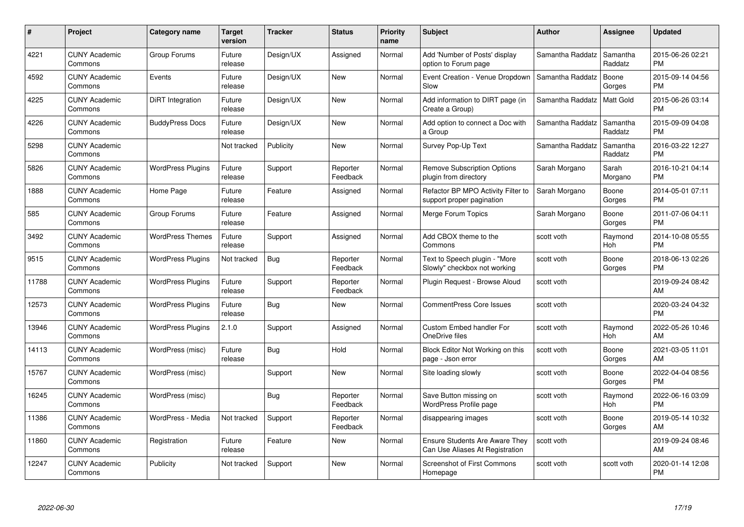| #     | <b>Project</b>                  | Category name            | Target<br>version | <b>Tracker</b> | <b>Status</b>        | <b>Priority</b><br>name | <b>Subject</b>                                                    | <b>Author</b>    | Assignee            | <b>Updated</b>                |
|-------|---------------------------------|--------------------------|-------------------|----------------|----------------------|-------------------------|-------------------------------------------------------------------|------------------|---------------------|-------------------------------|
| 4221  | <b>CUNY Academic</b><br>Commons | Group Forums             | Future<br>release | Design/UX      | Assigned             | Normal                  | Add 'Number of Posts' display<br>option to Forum page             | Samantha Raddatz | Samantha<br>Raddatz | 2015-06-26 02:21<br><b>PM</b> |
| 4592  | <b>CUNY Academic</b><br>Commons | Events                   | Future<br>release | Design/UX      | New                  | Normal                  | Event Creation - Venue Dropdown<br>Slow                           | Samantha Raddatz | Boone<br>Gorges     | 2015-09-14 04:56<br><b>PM</b> |
| 4225  | <b>CUNY Academic</b><br>Commons | DiRT Integration         | Future<br>release | Design/UX      | <b>New</b>           | Normal                  | Add information to DIRT page (in<br>Create a Group)               | Samantha Raddatz | Matt Gold           | 2015-06-26 03:14<br><b>PM</b> |
| 4226  | <b>CUNY Academic</b><br>Commons | <b>BuddyPress Docs</b>   | Future<br>release | Design/UX      | New                  | Normal                  | Add option to connect a Doc with<br>a Group                       | Samantha Raddatz | Samantha<br>Raddatz | 2015-09-09 04:08<br><b>PM</b> |
| 5298  | <b>CUNY Academic</b><br>Commons |                          | Not tracked       | Publicity      | <b>New</b>           | Normal                  | Survey Pop-Up Text                                                | Samantha Raddatz | Samantha<br>Raddatz | 2016-03-22 12:27<br><b>PM</b> |
| 5826  | <b>CUNY Academic</b><br>Commons | <b>WordPress Plugins</b> | Future<br>release | Support        | Reporter<br>Feedback | Normal                  | <b>Remove Subscription Options</b><br>plugin from directory       | Sarah Morgano    | Sarah<br>Morgano    | 2016-10-21 04:14<br><b>PM</b> |
| 1888  | <b>CUNY Academic</b><br>Commons | Home Page                | Future<br>release | Feature        | Assigned             | Normal                  | Refactor BP MPO Activity Filter to<br>support proper pagination   | Sarah Morgano    | Boone<br>Gorges     | 2014-05-01 07:11<br><b>PM</b> |
| 585   | <b>CUNY Academic</b><br>Commons | Group Forums             | Future<br>release | Feature        | Assigned             | Normal                  | Merge Forum Topics                                                | Sarah Morgano    | Boone<br>Gorges     | 2011-07-06 04:11<br><b>PM</b> |
| 3492  | <b>CUNY Academic</b><br>Commons | <b>WordPress Themes</b>  | Future<br>release | Support        | Assigned             | Normal                  | Add CBOX theme to the<br>Commons                                  | scott voth       | Raymond<br>Hoh      | 2014-10-08 05:55<br><b>PM</b> |
| 9515  | <b>CUNY Academic</b><br>Commons | <b>WordPress Plugins</b> | Not tracked       | Bug            | Reporter<br>Feedback | Normal                  | Text to Speech plugin - "More<br>Slowly" checkbox not working     | scott voth       | Boone<br>Gorges     | 2018-06-13 02:26<br><b>PM</b> |
| 11788 | <b>CUNY Academic</b><br>Commons | <b>WordPress Plugins</b> | Future<br>release | Support        | Reporter<br>Feedback | Normal                  | Plugin Request - Browse Aloud                                     | scott voth       |                     | 2019-09-24 08:42<br>AM        |
| 12573 | <b>CUNY Academic</b><br>Commons | <b>WordPress Plugins</b> | Future<br>release | <b>Bug</b>     | <b>New</b>           | Normal                  | <b>CommentPress Core Issues</b>                                   | scott voth       |                     | 2020-03-24 04:32<br><b>PM</b> |
| 13946 | <b>CUNY Academic</b><br>Commons | <b>WordPress Plugins</b> | 2.1.0             | Support        | Assigned             | Normal                  | Custom Embed handler For<br>OneDrive files                        | scott voth       | Raymond<br>Hoh      | 2022-05-26 10:46<br><b>AM</b> |
| 14113 | <b>CUNY Academic</b><br>Commons | WordPress (misc)         | Future<br>release | Bug            | Hold                 | Normal                  | Block Editor Not Working on this<br>page - Json error             | scott voth       | Boone<br>Gorges     | 2021-03-05 11:01<br>AM.       |
| 15767 | <b>CUNY Academic</b><br>Commons | WordPress (misc)         |                   | Support        | <b>New</b>           | Normal                  | Site loading slowly                                               | scott voth       | Boone<br>Gorges     | 2022-04-04 08:56<br><b>PM</b> |
| 16245 | <b>CUNY Academic</b><br>Commons | WordPress (misc)         |                   | <b>Bug</b>     | Reporter<br>Feedback | Normal                  | Save Button missing on<br><b>WordPress Profile page</b>           | scott voth       | Raymond<br>Hoh      | 2022-06-16 03:09<br><b>PM</b> |
| 11386 | <b>CUNY Academic</b><br>Commons | WordPress - Media        | Not tracked       | Support        | Reporter<br>Feedback | Normal                  | disappearing images                                               | scott voth       | Boone<br>Gorges     | 2019-05-14 10:32<br>AM        |
| 11860 | <b>CUNY Academic</b><br>Commons | Registration             | Future<br>release | Feature        | New                  | Normal                  | Ensure Students Are Aware They<br>Can Use Aliases At Registration | scott voth       |                     | 2019-09-24 08:46<br>AM        |
| 12247 | <b>CUNY Academic</b><br>Commons | Publicity                | Not tracked       | Support        | <b>New</b>           | Normal                  | <b>Screenshot of First Commons</b><br>Homepage                    | scott voth       | scott voth          | 2020-01-14 12:08<br>PM        |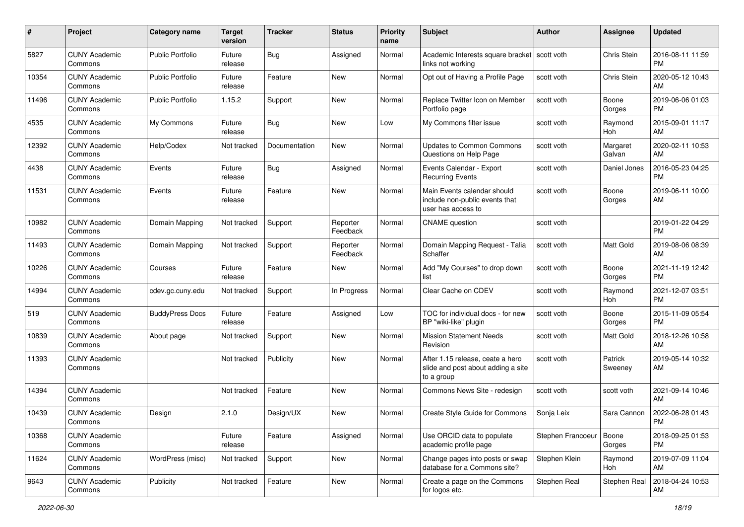| #     | Project                         | <b>Category name</b>    | <b>Target</b><br>version | <b>Tracker</b> | <b>Status</b>        | <b>Priority</b><br>name | <b>Subject</b>                                                                       | <b>Author</b>             | <b>Assignee</b>    | <b>Updated</b>                |
|-------|---------------------------------|-------------------------|--------------------------|----------------|----------------------|-------------------------|--------------------------------------------------------------------------------------|---------------------------|--------------------|-------------------------------|
| 5827  | <b>CUNY Academic</b><br>Commons | Public Portfolio        | Future<br>release        | Bug            | Assigned             | Normal                  | Academic Interests square bracket<br>links not working                               | scott voth                | Chris Stein        | 2016-08-11 11:59<br><b>PM</b> |
| 10354 | <b>CUNY Academic</b><br>Commons | <b>Public Portfolio</b> | Future<br>release        | Feature        | New                  | Normal                  | Opt out of Having a Profile Page                                                     | scott voth                | Chris Stein        | 2020-05-12 10:43<br>AM        |
| 11496 | <b>CUNY Academic</b><br>Commons | Public Portfolio        | 1.15.2                   | Support        | New                  | Normal                  | Replace Twitter Icon on Member<br>Portfolio page                                     | scott voth                | Boone<br>Gorges    | 2019-06-06 01:03<br><b>PM</b> |
| 4535  | <b>CUNY Academic</b><br>Commons | My Commons              | Future<br>release        | Bug            | New                  | Low                     | My Commons filter issue                                                              | scott voth                | Raymond<br>Hoh     | 2015-09-01 11:17<br>AM        |
| 12392 | <b>CUNY Academic</b><br>Commons | Help/Codex              | Not tracked              | Documentation  | New                  | Normal                  | <b>Updates to Common Commons</b><br>Questions on Help Page                           | scott voth                | Margaret<br>Galvan | 2020-02-11 10:53<br>AM        |
| 4438  | <b>CUNY Academic</b><br>Commons | Events                  | Future<br>release        | <b>Bug</b>     | Assigned             | Normal                  | Events Calendar - Export<br><b>Recurring Events</b>                                  | scott voth                | Daniel Jones       | 2016-05-23 04:25<br><b>PM</b> |
| 11531 | <b>CUNY Academic</b><br>Commons | Events                  | Future<br>release        | Feature        | New                  | Normal                  | Main Events calendar should<br>include non-public events that<br>user has access to  | scott voth                | Boone<br>Gorges    | 2019-06-11 10:00<br>AM.       |
| 10982 | <b>CUNY Academic</b><br>Commons | Domain Mapping          | Not tracked              | Support        | Reporter<br>Feedback | Normal                  | <b>CNAME</b> question                                                                | scott voth                |                    | 2019-01-22 04:29<br><b>PM</b> |
| 11493 | <b>CUNY Academic</b><br>Commons | Domain Mapping          | Not tracked              | Support        | Reporter<br>Feedback | Normal                  | Domain Mapping Request - Talia<br>Schaffer                                           | scott voth                | Matt Gold          | 2019-08-06 08:39<br>AM        |
| 10226 | <b>CUNY Academic</b><br>Commons | Courses                 | Future<br>release        | Feature        | New                  | Normal                  | Add "My Courses" to drop down<br>list                                                | scott voth                | Boone<br>Gorges    | 2021-11-19 12:42<br><b>PM</b> |
| 14994 | <b>CUNY Academic</b><br>Commons | cdev.gc.cuny.edu        | Not tracked              | Support        | In Progress          | Normal                  | Clear Cache on CDEV                                                                  | scott voth                | Raymond<br>Hoh     | 2021-12-07 03:51<br><b>PM</b> |
| 519   | <b>CUNY Academic</b><br>Commons | <b>BuddyPress Docs</b>  | Future<br>release        | Feature        | Assigned             | Low                     | TOC for individual docs - for new<br>BP "wiki-like" plugin                           | scott voth                | Boone<br>Gorges    | 2015-11-09 05:54<br><b>PM</b> |
| 10839 | <b>CUNY Academic</b><br>Commons | About page              | Not tracked              | Support        | New                  | Normal                  | <b>Mission Statement Needs</b><br>Revision                                           | scott voth                | Matt Gold          | 2018-12-26 10:58<br>AM        |
| 11393 | <b>CUNY Academic</b><br>Commons |                         | Not tracked              | Publicity      | New                  | Normal                  | After 1.15 release, ceate a hero<br>slide and post about adding a site<br>to a group | scott voth                | Patrick<br>Sweeney | 2019-05-14 10:32<br>AM        |
| 14394 | <b>CUNY Academic</b><br>Commons |                         | Not tracked              | Feature        | New                  | Normal                  | Commons News Site - redesign                                                         | scott voth                | scott voth         | 2021-09-14 10:46<br>AM.       |
| 10439 | <b>CUNY Academic</b><br>Commons | Design                  | 2.1.0                    | Design/UX      | New                  | Normal                  | Create Style Guide for Commons                                                       | Sonja Leix                | Sara Cannon        | 2022-06-28 01:43<br>PM        |
| 10368 | <b>CUNY Academic</b><br>Commons |                         | Future<br>release        | Feature        | Assigned             | Normal                  | Use ORCID data to populate<br>academic profile page                                  | Stephen Francoeur   Boone | Gorges             | 2018-09-25 01:53<br>PM.       |
| 11624 | <b>CUNY Academic</b><br>Commons | WordPress (misc)        | Not tracked              | Support        | New                  | Normal                  | Change pages into posts or swap<br>database for a Commons site?                      | Stephen Klein             | Raymond<br>Hoh     | 2019-07-09 11:04<br>AM        |
| 9643  | <b>CUNY Academic</b><br>Commons | Publicity               | Not tracked              | Feature        | New                  | Normal                  | Create a page on the Commons<br>for logos etc.                                       | Stephen Real              | Stephen Real       | 2018-04-24 10:53<br>AM        |